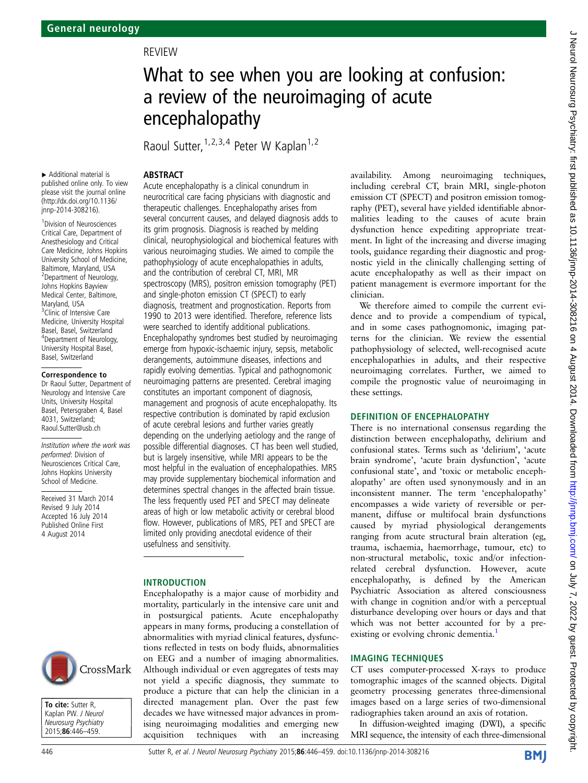# REVIEW

# What to see when you are looking at confusion: a review of the neuroimaging of acute encephalopathy

Raoul Sutter,  $1,2,3,4$  Peter W Kaplan<sup>1,2</sup>

#### ABSTRACT

▸ Additional material is published online only. To view please visit the journal online [\(http://dx.doi.org/10.1136/](http://dx.doi.org/10.1136/jnnp-2014-308216) [jnnp-2014-308216](http://dx.doi.org/10.1136/jnnp-2014-308216)).

1 Division of Neurosciences Critical Care, Department of Anesthesiology and Critical Care Medicine, Johns Hopkins University School of Medicine, Baltimore, Maryland, USA 2 Department of Neurology, Johns Hopkins Bayview Medical Center, Baltimore, Maryland, USA <sup>3</sup>Clinic of Intensive Care Medicine, University Hospital Basel, Basel, Switzerland 4 Department of Neurology, University Hospital Basel, Basel, Switzerland

#### Correspondence to

Dr Raoul Sutter, Department of Neurology and Intensive Care Units, University Hospital Basel, Petersgraben 4, Basel 4031, Switzerland; Raoul.Sutter@usb.ch

Institution where the work was performed: Division of Neurosciences Critical Care, Johns Hopkins University School of Medicine.

Received 31 March 2014 Revised 9 July 2014 Accepted 16 July 2014 Published Online First 4 August 2014



Acute encephalopathy is a clinical conundrum in neurocritical care facing physicians with diagnostic and therapeutic challenges. Encephalopathy arises from several concurrent causes, and delayed diagnosis adds to its grim prognosis. Diagnosis is reached by melding clinical, neurophysiological and biochemical features with various neuroimaging studies. We aimed to compile the pathophysiology of acute encephalopathies in adults, and the contribution of cerebral CT, MRI, MR spectroscopy (MRS), positron emission tomography (PET) and single-photon emission CT (SPECT) to early diagnosis, treatment and prognostication. Reports from 1990 to 2013 were identified. Therefore, reference lists were searched to identify additional publications. Encephalopathy syndromes best studied by neuroimaging emerge from hypoxic-ischaemic injury, sepsis, metabolic derangements, autoimmune diseases, infections and rapidly evolving dementias. Typical and pathognomonic neuroimaging patterns are presented. Cerebral imaging constitutes an important component of diagnosis, management and prognosis of acute encephalopathy. Its respective contribution is dominated by rapid exclusion of acute cerebral lesions and further varies greatly depending on the underlying aetiology and the range of possible differential diagnoses. CT has been well studied, but is largely insensitive, while MRI appears to be the most helpful in the evaluation of encephalopathies. MRS may provide supplementary biochemical information and determines spectral changes in the affected brain tissue. The less frequently used PET and SPECT may delineate areas of high or low metabolic activity or cerebral blood flow. However, publications of MRS, PET and SPECT are limited only providing anecdotal evidence of their usefulness and sensitivity.

## INTRODUCTION

Encephalopathy is a major cause of morbidity and mortality, particularly in the intensive care unit and in postsurgical patients. Acute encephalopathy appears in many forms, producing a constellation of abnormalities with myriad clinical features, dysfunctions reflected in tests on body fluids, abnormalities on EEG and a number of imaging abnormalities. Although individual or even aggregates of tests may not yield a specific diagnosis, they summate to produce a picture that can help the clinician in a directed management plan. Over the past few decades we have witnessed major advances in promising neuroimaging modalities and emerging new acquisition techniques with an increasing availability. Among neuroimaging techniques, including cerebral CT, brain MRI, single-photon emission CT (SPECT) and positron emission tomography (PET), several have yielded identifiable abnormalities leading to the causes of acute brain dysfunction hence expediting appropriate treatment. In light of the increasing and diverse imaging tools, guidance regarding their diagnostic and prognostic yield in the clinically challenging setting of acute encephalopathy as well as their impact on patient management is evermore important for the clinician.

We therefore aimed to compile the current evidence and to provide a compendium of typical, and in some cases pathognomonic, imaging patterns for the clinician. We review the essential pathophysiology of selected, well-recognised acute encephalopathies in adults, and their respective neuroimaging correlates. Further, we aimed to compile the prognostic value of neuroimaging in these settings.

# DEFINITION OF ENCEPHALOPATHY

There is no international consensus regarding the distinction between encephalopathy, delirium and confusional states. Terms such as 'delirium', 'acute brain syndrome', 'acute brain dysfunction', 'acute confusional state', and 'toxic or metabolic encephalopathy' are often used synonymously and in an inconsistent manner. The term 'encephalopathy' encompasses a wide variety of reversible or permanent, diffuse or multifocal brain dysfunctions caused by myriad physiological derangements ranging from acute structural brain alteration (eg, trauma, ischaemia, haemorrhage, tumour, etc) to non-structural metabolic, toxic and/or infectionrelated cerebral dysfunction. However, acute encephalopathy, is defined by the American Psychiatric Association as altered consciousness with change in cognition and/or with a perceptual disturbance developing over hours or days and that which was not better accounted for by a pre-existing or evolving chronic dementia.<sup>[1](#page-12-0)</sup>

#### IMAGING TECHNIQUES

CT uses computer-processed X-rays to produce tomographic images of the scanned objects. Digital geometry processing generates three-dimensional images based on a large series of two-dimensional radiographies taken around an axis of rotation.

In diffusion-weighted imaging (DWI), a specific MRI sequence, the intensity of each three-dimensional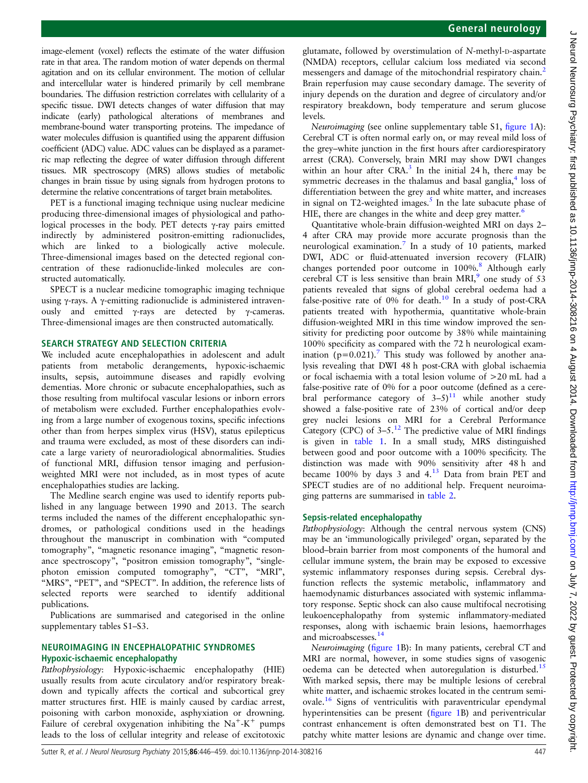image-element (voxel) reflects the estimate of the water diffusion rate in that area. The random motion of water depends on thermal agitation and on its cellular environment. The motion of cellular and intercellular water is hindered primarily by cell membrane boundaries. The diffusion restriction correlates with cellularity of a specific tissue. DWI detects changes of water diffusion that may indicate (early) pathological alterations of membranes and membrane-bound water transporting proteins. The impedance of water molecules diffusion is quantified using the apparent diffusion coefficient (ADC) value. ADC values can be displayed as a parametric map reflecting the degree of water diffusion through different tissues. MR spectroscopy (MRS) allows studies of metabolic changes in brain tissue by using signals from hydrogen protons to determine the relative concentrations of target brain metabolites.

PET is a functional imaging technique using nuclear medicine producing three-dimensional images of physiological and pathological processes in the body. PET detects γ-ray pairs emitted indirectly by administered positron-emitting radionuclides, which are linked to a biologically active molecule. Three-dimensional images based on the detected regional concentration of these radionuclide-linked molecules are constructed automatically.

SPECT is a nuclear medicine tomographic imaging technique using γ-rays. A γ-emitting radionuclide is administered intravenously and emitted γ-rays are detected by γ-cameras. Three-dimensional images are then constructed automatically.

#### SEARCH STRATEGY AND SELECTION CRITERIA

We included acute encephalopathies in adolescent and adult patients from metabolic derangements, hypoxic-ischaemic insults, sepsis, autoimmune diseases and rapidly evolving dementias. More chronic or subacute encephalopathies, such as those resulting from multifocal vascular lesions or inborn errors of metabolism were excluded. Further encephalopathies evolving from a large number of exogenous toxins, specific infections other than from herpes simplex virus (HSV), status epilepticus and trauma were excluded, as most of these disorders can indicate a large variety of neuroradiological abnormalities. Studies of functional MRI, diffusion tensor imaging and perfusionweighted MRI were not included, as in most types of acute encephalopathies studies are lacking.

The Medline search engine was used to identify reports published in any language between 1990 and 2013. The search terms included the names of the different encephalopathic syndromes, or pathological conditions used in the headings throughout the manuscript in combination with "computed tomography", "magnetic resonance imaging", "magnetic resonance spectroscopy", "positron emission tomography", "singlephoton emission computed tomography", "CT", "MRI", "MRS", "PET", and "SPECT". In addition, the reference lists of selected reports were searched to identify additional publications.

Publications are summarised and categorised in the online [supplementary tables](http://jnnp.bmj.com/lookup/suppl/doi:10.1136/jnnp-2014-308216/-/DC1) S1–S3.

### NEUROIMAGING IN ENCEPHALOPATHIC SYNDROMES Hypoxic-ischaemic encephalopathy

Pathophysiology: Hypoxic-ischaemic encephalopathy (HIE) usually results from acute circulatory and/or respiratory breakdown and typically affects the cortical and subcortical grey matter structures first. HIE is mainly caused by cardiac arrest, poisoning with carbon monoxide, asphyxiation or drowning. Failure of cerebral oxygenation inhibiting the  $Na^+ - K^+$  pumps leads to the loss of cellular integrity and release of excitotoxic

glutamate, followed by overstimulation of N-methyl-D-aspartate (NMDA) receptors, cellular calcium loss mediated via second messengers and damage of the mitochondrial respiratory chain.<sup>[2](#page-12-0)</sup> Brain reperfusion may cause secondary damage. The severity of injury depends on the duration and degree of circulatory and/or respiratory breakdown, body temperature and serum glucose levels.

Neuroimaging (see online [supplementary table](http://jnnp.bmj.com/lookup/suppl/doi:10.1136/jnnp-2014-308216/-/DC1) S1, fi[gure 1](#page-2-0)A): Cerebral CT is often normal early on, or may reveal mild loss of the grey–white junction in the first hours after cardiorespiratory arrest (CRA). Conversely, brain MRI may show DWI changes within an hour after CRA.<sup>[3](#page-12-0)</sup> In the initial 24 h, there may be symmetric decreases in the thalamus and basal ganglia, $4$  loss of differentiation between the grey and white matter, and increases in signal on T2-weighted images.<sup>[5](#page-12-0)</sup> In the late subacute phase of HIE, there are changes in the white and deep grey matter.<sup>[6](#page-12-0)</sup>

Quantitative whole-brain diffusion-weighted MRI on days 2– 4 after CRA may provide more accurate prognosis than the neurological examination.<sup>[7](#page-12-0)</sup> In a study of 10 patients, marked DWI, ADC or fluid-attenuated inversion recovery (FLAIR) changes portended poor outcome in  $100\%$ .<sup>[8](#page-12-0)</sup> Although early cerebral CT is less sensitive than brain MRI $<sup>9</sup>$  $<sup>9</sup>$  $<sup>9</sup>$  one study of 53</sup> patients revealed that signs of global cerebral oedema had a false-positive rate of  $0\%$  for death.<sup>[10](#page-12-0)</sup> In a study of post-CRA patients treated with hypothermia, quantitative whole-brain diffusion-weighted MRI in this time window improved the sensitivity for predicting poor outcome by 38% while maintaining 100% specificity as compared with the 72 h neurological examination ( $p=0.021$ ).<sup>7</sup> This study was followed by another analysis revealing that DWI 48 h post-CRA with global ischaemia or focal ischaemia with a total lesion volume of >20 mL had a false-positive rate of 0% for a poor outcome (defined as a cerebral performance category of  $3-5$ <sup>[11](#page-12-0)</sup> while another study showed a false-positive rate of 23% of cortical and/or deep grey nuclei lesions on MRI for a Cerebral Performance Category (CPC) of  $3-5$ .<sup>[12](#page-12-0)</sup> The predictive value of MRI findings is given in [table 1](#page-3-0). In a small study, MRS distinguished between good and poor outcome with a 100% specificity. The distinction was made with 90% sensitivity after 48 h and became 100% by days 3 and 4.[13](#page-12-0) Data from brain PET and SPECT studies are of no additional help. Frequent neuroimaging patterns are summarised in [table 2.](#page-4-0)

### Sepsis-related encephalopathy

Pathophysiology: Although the central nervous system (CNS) may be an 'immunologically privileged' organ, separated by the blood–brain barrier from most components of the humoral and cellular immune system, the brain may be exposed to excessive systemic inflammatory responses during sepsis. Cerebral dysfunction reflects the systemic metabolic, inflammatory and haemodynamic disturbances associated with systemic inflammatory response. Septic shock can also cause multifocal necrotising leukoencephalopathy from systemic inflammatory-mediated responses, along with ischaemic brain lesions, haemorrhages and microabscesses.<sup>[14](#page-12-0)</sup>

Neuroimaging (fi[gure 1](#page-2-0)B): In many patients, cerebral CT and MRI are normal, however, in some studies signs of vasogenic oedema can be detected when autoregulation is disturbed.[15](#page-12-0) With marked sepsis, there may be multiple lesions of cerebral white matter, and ischaemic strokes located in the centrum semiovale.[16](#page-12-0) Signs of ventriculitis with paraventricular ependymal hyperintensities can be present (fi[gure 1B](#page-2-0)) and periventricular contrast enhancement is often demonstrated best on T1. The patchy white matter lesions are dynamic and change over time.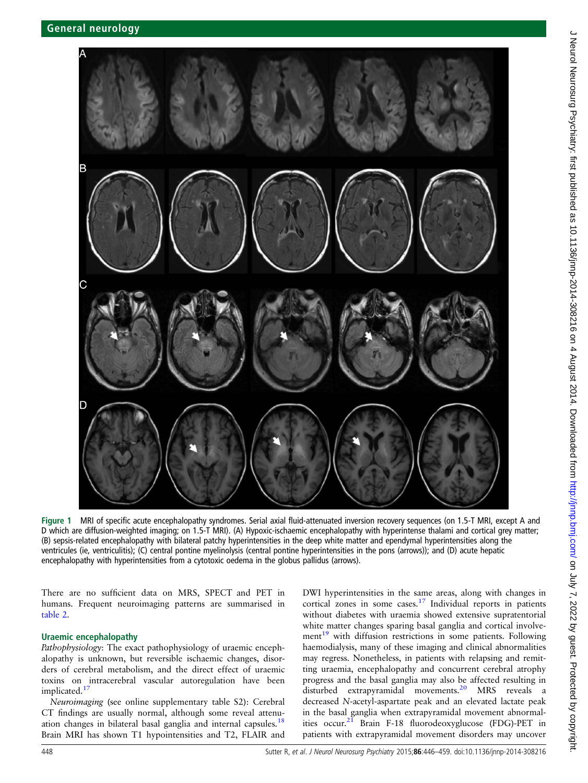<span id="page-2-0"></span>

Figure 1 MRI of specific acute encephalopathy syndromes. Serial axial fluid-attenuated inversion recovery sequences (on 1.5-T MRI, except A and D which are diffusion-weighted imaging; on 1.5-T MRI). (A) Hypoxic-ischaemic encephalopathy with hyperintense thalami and cortical grey matter; (B) sepsis-related encephalopathy with bilateral patchy hyperintensities in the deep white matter and ependymal hyperintensities along the ventricules (ie, ventriculitis); (C) central pontine myelinolysis (central pontine hyperintensities in the pons (arrows)); and (D) acute hepatic encephalopathy with hyperintensities from a cytotoxic oedema in the globus pallidus (arrows).

There are no sufficient data on MRS, SPECT and PET in humans. Frequent neuroimaging patterns are summarised in [table 2.](#page-4-0)

### Uraemic encephalopathy

Pathophysiology: The exact pathophysiology of uraemic encephalopathy is unknown, but reversible ischaemic changes, disorders of cerebral metabolism, and the direct effect of uraemic toxins on intracerebral vascular autoregulation have been implicated. $17$ 

Neuroimaging (see online [supplementary table](http://jnnp.bmj.com/lookup/suppl/doi:10.1136/jnnp-2014-308216/-/DC1) S2): Cerebral CT findings are usually normal, although some reveal attenu-ation changes in bilateral basal ganglia and internal capsules.<sup>[18](#page-12-0)</sup> Brain MRI has shown T1 hypointensities and T2, FLAIR and

DWI hyperintensities in the same areas, along with changes in cortical zones in some cases. $17$  Individual reports in patients without diabetes with uraemia showed extensive supratentorial white matter changes sparing basal ganglia and cortical involve-ment<sup>[19](#page-12-0)</sup> with diffusion restrictions in some patients. Following haemodialysis, many of these imaging and clinical abnormalities may regress. Nonetheless, in patients with relapsing and remitting uraemia, encephalopathy and concurrent cerebral atrophy progress and the basal ganglia may also be affected resulting in disturbed extrapyramidal movements.<sup>[20](#page-12-0)</sup> MRS reveals a decreased N-acetyl-aspartate peak and an elevated lactate peak in the basal ganglia when extrapyramidal movement abnormal-ities occur.<sup>[21](#page-12-0)</sup> Brain F-18 fluorodeoxyglucose (FDG)-PET in patients with extrapyramidal movement disorders may uncover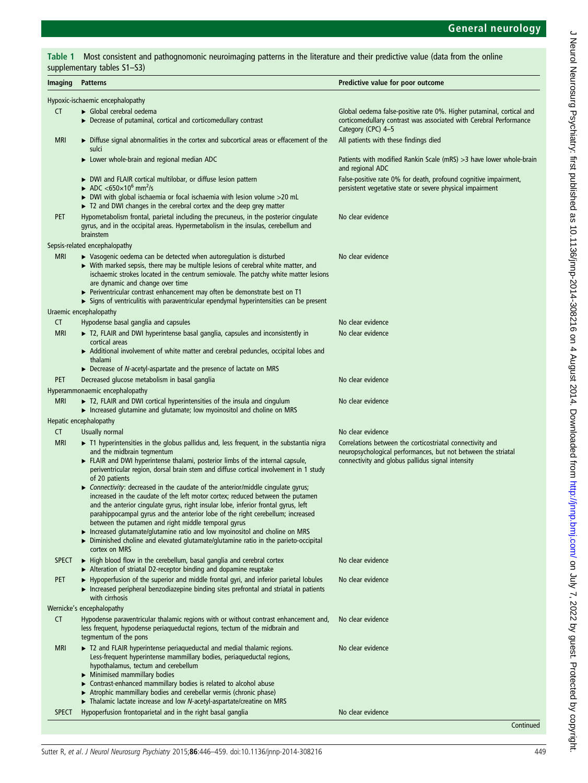<span id="page-3-0"></span>Table 1 Most consistent and pathognomonic neuroimaging patterns in the literature and their predictive value (data from the online s administrar<br>tables S1–

| <b>Imaging</b> | <b>Patterns</b>                                                                                                                                                                                                                                                                                                                                                                                                                                                                                      | Predictive value for poor outcome                                                                                                                                               |  |
|----------------|------------------------------------------------------------------------------------------------------------------------------------------------------------------------------------------------------------------------------------------------------------------------------------------------------------------------------------------------------------------------------------------------------------------------------------------------------------------------------------------------------|---------------------------------------------------------------------------------------------------------------------------------------------------------------------------------|--|
|                |                                                                                                                                                                                                                                                                                                                                                                                                                                                                                                      |                                                                                                                                                                                 |  |
|                | Hypoxic-ischaemic encephalopathy                                                                                                                                                                                                                                                                                                                                                                                                                                                                     |                                                                                                                                                                                 |  |
| CT             | ► Global cerebral oedema<br>► Decrease of putaminal, cortical and corticomedullary contrast                                                                                                                                                                                                                                                                                                                                                                                                          | Global oedema false-positive rate 0%. Higher putaminal, cortical and<br>corticomedullary contrast was associated with Cerebral Performance<br>Category (CPC) 4-5                |  |
| <b>MRI</b>     | $\triangleright$ Diffuse signal abnormalities in the cortex and subcortical areas or effacement of the<br>sulci                                                                                                                                                                                                                                                                                                                                                                                      | All patients with these findings died                                                                                                                                           |  |
|                | $\triangleright$ Lower whole-brain and regional median ADC                                                                                                                                                                                                                                                                                                                                                                                                                                           | Patients with modified Rankin Scale (mRS) > 3 have lower whole-brain<br>and regional ADC                                                                                        |  |
|                | ▶ DWI and FLAIR cortical multilobar, or diffuse lesion pattern<br>ADC <650×10 <sup>6</sup> mm <sup>2</sup> /s                                                                                                                                                                                                                                                                                                                                                                                        | False-positive rate 0% for death, profound cognitive impairment,<br>persistent vegetative state or severe physical impairment                                                   |  |
|                | $\triangleright$ DWI with global ischaemia or focal ischaemia with lesion volume >20 mL<br>T2 and DWI changes in the cerebral cortex and the deep grey matter                                                                                                                                                                                                                                                                                                                                        |                                                                                                                                                                                 |  |
| <b>PET</b>     | Hypometabolism frontal, parietal including the precuneus, in the posterior cingulate<br>gyrus, and in the occipital areas. Hypermetabolism in the insulas, cerebellum and<br>brainstem                                                                                                                                                                                                                                                                                                               | No clear evidence                                                                                                                                                               |  |
|                | Sepsis-related encephalopathy                                                                                                                                                                                                                                                                                                                                                                                                                                                                        |                                                                                                                                                                                 |  |
| <b>MRI</b>     | > Vasogenic oedema can be detected when autoregulation is disturbed<br>> With marked sepsis, there may be multiple lesions of cerebral white matter, and<br>ischaemic strokes located in the centrum semiovale. The patchy white matter lesions<br>are dynamic and change over time<br>▶ Periventricular contrast enhancement may often be demonstrate best on T1<br>> Signs of ventriculitis with paraventricular ependymal hyperintensities can be present                                         | No clear evidence                                                                                                                                                               |  |
|                | Uraemic encephalopathy                                                                                                                                                                                                                                                                                                                                                                                                                                                                               |                                                                                                                                                                                 |  |
| CT             | Hypodense basal ganglia and capsules                                                                                                                                                                                                                                                                                                                                                                                                                                                                 | No clear evidence                                                                                                                                                               |  |
| <b>MRI</b>     | T2, FLAIR and DWI hyperintense basal ganglia, capsules and inconsistently in                                                                                                                                                                                                                                                                                                                                                                                                                         | No clear evidence                                                                                                                                                               |  |
|                | cortical areas<br>Additional involvement of white matter and cerebral peduncles, occipital lobes and<br>thalami<br>▶ Decrease of N-acetyl-aspartate and the presence of lactate on MRS                                                                                                                                                                                                                                                                                                               |                                                                                                                                                                                 |  |
| <b>PET</b>     |                                                                                                                                                                                                                                                                                                                                                                                                                                                                                                      | No clear evidence                                                                                                                                                               |  |
|                | Decreased glucose metabolism in basal ganglia                                                                                                                                                                                                                                                                                                                                                                                                                                                        |                                                                                                                                                                                 |  |
|                | Hyperammonaemic encephalopathy                                                                                                                                                                                                                                                                                                                                                                                                                                                                       |                                                                                                                                                                                 |  |
| <b>MRI</b>     | T2, FLAIR and DWI cortical hyperintensities of the insula and cingulum<br>Increased glutamine and glutamate; low myoinositol and choline on MRS                                                                                                                                                                                                                                                                                                                                                      | No clear evidence                                                                                                                                                               |  |
|                | Hepatic encephalopathy                                                                                                                                                                                                                                                                                                                                                                                                                                                                               |                                                                                                                                                                                 |  |
| CT             | Usually normal                                                                                                                                                                                                                                                                                                                                                                                                                                                                                       | No clear evidence                                                                                                                                                               |  |
| <b>MRI</b>     | T1 hyperintensities in the globus pallidus and, less frequent, in the substantia nigra<br>and the midbrain tegmentum<br>FLAIR and DWI hyperintense thalami, posterior limbs of the internal capsule,<br>periventricular region, dorsal brain stem and diffuse cortical involvement in 1 study<br>of 20 patients<br>> Connectivity: decreased in the caudate of the anterior/middle cingulate gyrus;                                                                                                  | Correlations between the corticostriatal connectivity and<br>neuropsychological performances, but not between the striatal<br>connectivity and globus pallidus signal intensity |  |
|                | increased in the caudate of the left motor cortex; reduced between the putamen<br>and the anterior cingulate gyrus, right insular lobe, inferior frontal gyrus, left<br>parahippocampal gyrus and the anterior lobe of the right cerebellum; increased<br>between the putamen and right middle temporal gyrus<br>Increased glutamate/glutamine ratio and low myoinositol and choline on MRS<br>> Diminished choline and elevated glutamate/glutamine ratio in the parieto-occipital<br>cortex on MRS |                                                                                                                                                                                 |  |
| <b>SPECT</b>   | High blood flow in the cerebellum, basal ganglia and cerebral cortex<br>Alteration of striatal D2-receptor binding and dopamine reuptake                                                                                                                                                                                                                                                                                                                                                             | No clear evidence                                                                                                                                                               |  |
| <b>PET</b>     | $\triangleright$ Hypoperfusion of the superior and middle frontal gyri, and inferior parietal lobules<br>Increased peripheral benzodiazepine binding sites prefrontal and striatal in patients<br>with cirrhosis                                                                                                                                                                                                                                                                                     | No clear evidence                                                                                                                                                               |  |
|                |                                                                                                                                                                                                                                                                                                                                                                                                                                                                                                      |                                                                                                                                                                                 |  |
| CT             | Wernicke's encephalopathy<br>Hypodense paraventricular thalamic regions with or without contrast enhancement and,<br>No clear evidence                                                                                                                                                                                                                                                                                                                                                               |                                                                                                                                                                                 |  |
|                | less frequent, hypodense periaqueductal regions, tectum of the midbrain and<br>tegmentum of the pons                                                                                                                                                                                                                                                                                                                                                                                                 |                                                                                                                                                                                 |  |
| <b>MRI</b>     | T2 and FLAIR hyperintense periaqueductal and medial thalamic regions.<br>Less-frequent hyperintense mammillary bodies, periaqueductal regions,<br>hypothalamus, tectum and cerebellum<br>$\triangleright$ Minimised mammillary bodies<br>• Contrast-enhanced mammillary bodies is related to alcohol abuse<br>Atrophic mammillary bodies and cerebellar vermis (chronic phase)                                                                                                                       | No clear evidence                                                                                                                                                               |  |
|                | > Thalamic lactate increase and low N-acetyl-aspartate/creatine on MRS                                                                                                                                                                                                                                                                                                                                                                                                                               |                                                                                                                                                                                 |  |
| <b>SPECT</b>   | Hypoperfusion frontoparietal and in the right basal ganglia                                                                                                                                                                                                                                                                                                                                                                                                                                          | No clear evidence                                                                                                                                                               |  |

**Continued**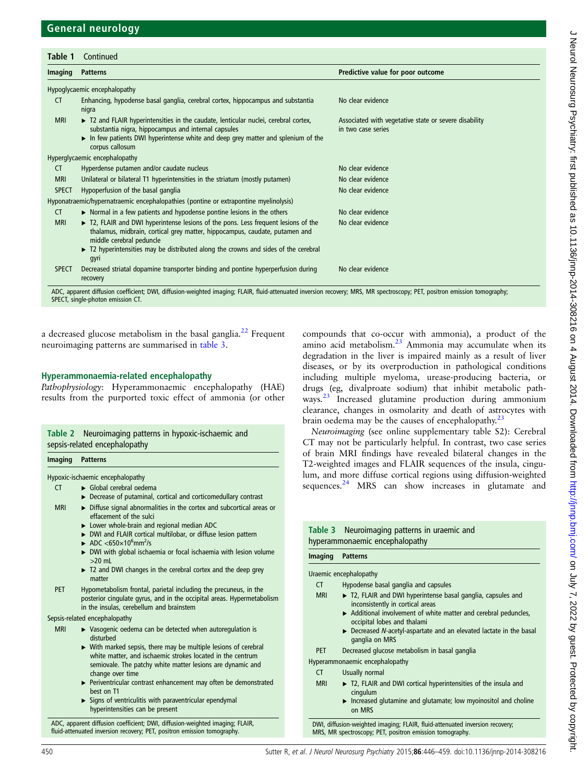<span id="page-4-0"></span>

| Table 1        | Continued                                                                                                                                                                                                                                                                                         |                                                                             |
|----------------|---------------------------------------------------------------------------------------------------------------------------------------------------------------------------------------------------------------------------------------------------------------------------------------------------|-----------------------------------------------------------------------------|
| <b>Imaging</b> | <b>Patterns</b>                                                                                                                                                                                                                                                                                   | Predictive value for poor outcome                                           |
|                | Hypoglycaemic encephalopathy                                                                                                                                                                                                                                                                      |                                                                             |
| <b>CT</b>      | Enhancing, hypodense basal ganglia, cerebral cortex, hippocampus and substantia<br>nigra                                                                                                                                                                                                          | No clear evidence                                                           |
| <b>MRI</b>     | T2 and FLAIR hyperintensities in the caudate, lenticular nuclei, cerebral cortex,<br>substantia nigra, hippocampus and internal capsules<br>In few patients DWI hyperintense white and deep grey matter and splenium of the<br>corpus callosum                                                    | Associated with vegetative state or severe disability<br>in two case series |
|                | Hyperglycaemic encephalopathy                                                                                                                                                                                                                                                                     |                                                                             |
| CT             | Hyperdense putamen and/or caudate nucleus                                                                                                                                                                                                                                                         | No clear evidence                                                           |
| <b>MRI</b>     | Unilateral or bilateral T1 hyperintensities in the striatum (mostly putamen)                                                                                                                                                                                                                      | No clear evidence                                                           |
| <b>SPECT</b>   | Hypoperfusion of the basal ganglia                                                                                                                                                                                                                                                                | No clear evidence                                                           |
|                | Hyponatraemic/hypernatraemic encephalopathies (pontine or extrapontine myelinolysis)                                                                                                                                                                                                              |                                                                             |
| CT             | $\triangleright$ Normal in a few patients and hypodense pontine lesions in the others                                                                                                                                                                                                             | No clear evidence                                                           |
| <b>MRI</b>     | T2, FLAIR and DWI hyperintense lesions of the pons. Less frequent lesions of the<br>thalamus, midbrain, cortical grey matter, hippocampus, caudate, putamen and<br>middle cerebral peduncle<br>$\triangleright$ T2 hyperintensities may be distributed along the crowns and sides of the cerebral | No clear evidence                                                           |
| <b>SPECT</b>   | gyri<br>Decreased striatal dopamine transporter binding and pontine hyperperfusion during<br>recovery                                                                                                                                                                                             | No clear evidence                                                           |

SPECT, single-photon emission CT.

a decreased glucose metabolism in the basal ganglia.<sup>[22](#page-12-0)</sup> Frequent neuroimaging patterns are summarised in table 3.

## Hyperammonaemia-related encephalopathy

Pathophysiology: Hyperammonaemic encephalopathy (HAE) results from the purported toxic effect of ammonia (or other

| Table 2 Neuroimaging patterns in hypoxic-ischaemic and |
|--------------------------------------------------------|
| sepsis-related encephalopathy                          |

| <b>Imaging</b> | <b>Patterns</b>                                                                                                                                                                                                                |
|----------------|--------------------------------------------------------------------------------------------------------------------------------------------------------------------------------------------------------------------------------|
|                | Hypoxic-ischaemic encephalopathy                                                                                                                                                                                               |
| CT.            | $\triangleright$ Global cerebral oedema<br>▶ Decrease of putaminal, cortical and corticomedullary contrast                                                                                                                     |
| <b>MRI</b>     | Diffuse signal abnormalities in the cortex and subcortical areas or<br>effacement of the sulci                                                                                                                                 |
|                | ► Lower whole-brain and regional median ADC                                                                                                                                                                                    |
|                | > DWI and FLAIR cortical multilobar, or diffuse lesion pattern<br>$\blacktriangleright$ ADC <650×10 <sup>6</sup> mm <sup>2</sup> /s                                                                                            |
|                | DWI with global ischaemia or focal ischaemia with lesion volume<br>$>20$ mL                                                                                                                                                    |
|                | T2 and DWI changes in the cerebral cortex and the deep grey<br>matter                                                                                                                                                          |
| <b>PET</b>     | Hypometabolism frontal, parietal including the precuneus, in the<br>posterior cingulate gyrus, and in the occipital areas. Hypermetabolism<br>in the insulas, cerebellum and brainstem                                         |
|                | Sepsis-related encephalopathy                                                                                                                                                                                                  |
| <b>MRI</b>     | ▶ Vasogenic oedema can be detected when autoregulation is<br>disturbed                                                                                                                                                         |
|                | $\triangleright$ With marked sepsis, there may be multiple lesions of cerebral<br>white matter, and ischaemic strokes located in the centrum<br>semiovale. The patchy white matter lesions are dynamic and<br>change over time |
|                | ▶ Periventricular contrast enhancement may often be demonstrated<br>hest on T1                                                                                                                                                 |
|                | Signs of ventriculitis with paraventricular ependymal<br>hyperintensities can be present                                                                                                                                       |

fluid-attenuated inversion recovery; PET, positron emission tomography.

compounds that co-occur with ammonia), a product of the amino acid metabolism.<sup>23</sup> Ammonia may accumulate when its degradation in the liver is impaired mainly as a result of liver diseases, or by its overproduction in pathological conditions including multiple myeloma, urease-producing bacteria, or drugs (eg, divalproate sodium) that inhibit metabolic pathways.[23](#page-12-0) Increased glutamine production during ammonium clearance, changes in osmolarity and death of astrocytes with brain oedema may be the causes of encephalopathy. $23$ 

Neuroimaging (see online [supplementary table](http://jnnp.bmj.com/lookup/suppl/doi:10.1136/jnnp-2014-308216/-/DC1) S2): Cerebral CT may not be particularly helpful. In contrast, two case series of brain MRI findings have revealed bilateral changes in the T2-weighted images and FLAIR sequences of the insula, cingulum, and more diffuse cortical regions using diffusion-weighted sequences.<sup>[24](#page-12-0)</sup> MRS can show increases in glutamate and

| <b>Imaging</b> | <b>Patterns</b>                                                                                |
|----------------|------------------------------------------------------------------------------------------------|
|                |                                                                                                |
|                | Uraemic encephalopathy                                                                         |
| CT.            | Hypodense basal ganglia and capsules                                                           |
| <b>MRI</b>     | T2, FLAIR and DWI hyperintense basal ganglia, capsules and<br>inconsistently in cortical areas |
|                | Additional involvement of white matter and cerebral peduncles,<br>occipital lobes and thalami  |
|                | ▶ Decreased N-acetyl-aspartate and an elevated lactate in the basal<br>ganglia on MRS          |
| <b>PFT</b>     | Decreased glucose metabolism in basal ganglia                                                  |
|                | Hyperammonaemic encephalopathy                                                                 |
| CT.            | Usually normal                                                                                 |
| <b>MRI</b>     | $\triangleright$ T2, FLAIR and DWI cortical hyperintensities of the insula and<br>cingulum     |
|                | $\triangleright$ Increased glutamine and glutamate; low myoinositol and choline<br>on MRS      |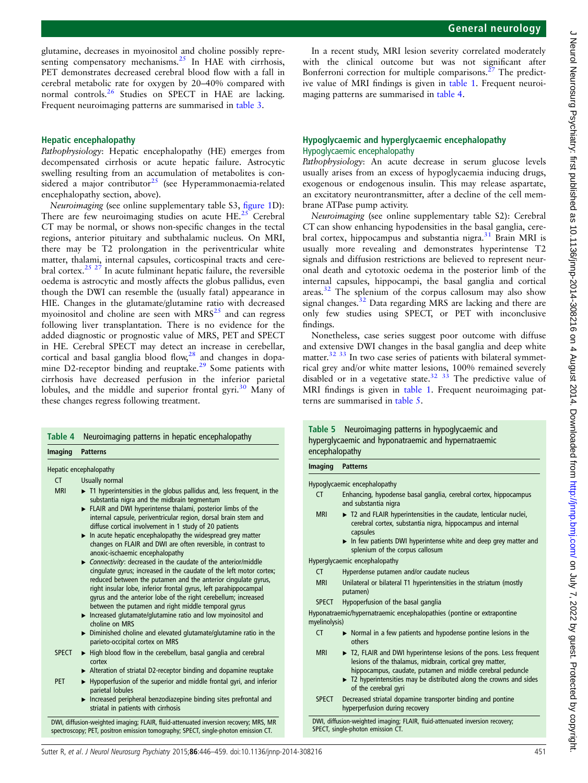In a recent study, MRI lesion severity correlated moderately with the clinical outcome but was not significant after Bonferroni correction for multiple comparisons.<sup>27</sup> The predictive value of MRI findings is given in [table 1](#page-3-0). Frequent neuroimaging patterns are summarised in table 4. Hypoglycaemic and hyperglycaemic encephalopathy Hypoglycaemic encephalopathy Pathophysiology: An acute decrease in serum glucose levels usually arises from an excess of hypoglycaemia inducing drugs, exogenous or endogenous insulin. This may release aspartate, an excitatory neurontransmitter, after a decline of the cell mem-

brane ATPase pump activity. Neuroimaging (see online [supplementary table](http://jnnp.bmj.com/lookup/suppl/doi:10.1136/jnnp-2014-308216/-/DC1) S2): Cerebral CT can show enhancing hypodensities in the basal ganglia, cere-bral cortex, hippocampus and substantia nigra.<sup>[31](#page-12-0)</sup> Brain MRI is usually more revealing and demonstrates hyperintense T2 signals and diffusion restrictions are believed to represent neuronal death and cytotoxic oedema in the posterior limb of the internal capsules, hippocampi, the basal ganglia and cortical areas.[32](#page-12-0) The splenium of the corpus callosum may also show signal changes.<sup>[32](#page-12-0)</sup> Data regarding MRS are lacking and there are only few studies using SPECT, or PET with inconclusive findings.

Nonetheless, case series suggest poor outcome with diffuse and extensive DWI changes in the basal ganglia and deep white matter. $32 \times 33$  In two case series of patients with bilateral symmetrical grey and/or white matter lesions, 100% remained severely disabled or in a vegetative state.<sup>32</sup> <sup>33</sup> The predictive value of MRI findings is given in [table 1.](#page-3-0) Frequent neuroimaging patterns are summarised in table 5.

|                | Table 5 Neuroimaging patterns in hypoglycaemic and  |
|----------------|-----------------------------------------------------|
|                | hyperglycaemic and hyponatraemic and hypernatraemic |
| encephalopathy |                                                     |

Imaging Patterns

Hypoglycaemic encephalopathy

- CT Enhancing, hypodense basal ganglia, cerebral cortex, hippocampus and substantia nigra
- MRI  $\triangleright$  T2 and FLAIR hyperintensities in the caudate, lenticular nuclei, cerebral cortex, substantia nigra, hippocampus and internal capsules
	- ► In few patients DWI hyperintense white and deep grey matter and splenium of the corpus callosum

Hyperglycaemic encephalopathy

- CT Hyperdense putamen and/or caudate nucleus
- MRI Unilateral or bilateral T1 hyperintensities in the striatum (mostly putamen)
- SPECT Hypoperfusion of the basal ganglia

Hyponatraemic/hypernatraemic encephalopathies (pontine or extrapontine myelinolysis)

- $CT \rightarrow$  Normal in a few patients and hypodense pontine lesions in the others
- MRI  $\rightarrow$  T2, FLAIR and DWI hyperintense lesions of the pons. Less frequent lesions of the thalamus, midbrain, cortical grey matter, hippocampus, caudate, putamen and middle cerebral peduncle
	- $\triangleright$  T2 hyperintensities may be distributed along the crowns and sides of the cerebral gyri
- SPECT Decreased striatal dopamine transporter binding and pontine hyperperfusion during recovery

DWI, diffusion-weighted imaging; FLAIR, fluid-attenuated inversion recovery; SPECT, single-photon emission CT.

<span id="page-5-0"></span>glutamine, decreases in myoinositol and choline possibly representing compensatory mechanisms.<sup>25</sup> In HAE with cirrhosis, PET demonstrates decreased cerebral blood flow with a fall in cerebral metabolic rate for oxygen by 20–40% compared with normal controls.<sup>26</sup> Studies on SPECT in HAE are lacking. Frequent neuroimaging patterns are summarised in [table 3](#page-4-0).

#### Hepatic encephalopathy

Pathophysiology: Hepatic encephalopathy (HE) emerges from decompensated cirrhosis or acute hepatic failure. Astrocytic swelling resulting from an accumulation of metabolites is con-sidered a major contributor<sup>[25](#page-12-0)</sup> (see Hyperammonaemia-related encephalopathy section, above).

Neuroimaging (see online [supplementary table](http://jnnp.bmj.com/lookup/suppl/doi:10.1136/jnnp-2014-308216/-/DC1) S3, fi[gure 1D](#page-2-0)): There are few neuroimaging studies on acute  $HE<sup>25</sup>$  $HE<sup>25</sup>$  $HE<sup>25</sup>$  Cerebral CT may be normal, or shows non-specific changes in the tectal regions, anterior pituitary and subthalamic nucleus. On MRI, there may be T2 prolongation in the periventricular white matter, thalami, internal capsules, corticospinal tracts and cere-bral cortex.<sup>[25 27](#page-12-0)</sup> In acute fulminant hepatic failure, the reversible oedema is astrocytic and mostly affects the globus pallidus, even though the DWI can resemble the (usually fatal) appearance in HIE. Changes in the glutamate/glutamine ratio with decreased myoinositol and choline are seen with  $MRS^{25}$  $MRS^{25}$  $MRS^{25}$  and can regress following liver transplantation. There is no evidence for the added diagnostic or prognostic value of MRS, PET and SPECT in HE. Cerebral SPECT may detect an increase in cerebellar, cortical and basal ganglia blood flow, $28$  and changes in dopamine D2-receptor binding and reuptake. $29$  Some patients with cirrhosis have decreased perfusion in the inferior parietal lobules, and the middle and superior frontal gyri. $30$  Many of these changes regress following treatment.

| Table 4        | Neuroimaging patterns in hepatic encephalopathy                                                                                                                                                                                                                                                                                                                                                                                                                                                                                                                                                                                                                                                                                                                                                                                                                                                                                                                                                                                                                                |
|----------------|--------------------------------------------------------------------------------------------------------------------------------------------------------------------------------------------------------------------------------------------------------------------------------------------------------------------------------------------------------------------------------------------------------------------------------------------------------------------------------------------------------------------------------------------------------------------------------------------------------------------------------------------------------------------------------------------------------------------------------------------------------------------------------------------------------------------------------------------------------------------------------------------------------------------------------------------------------------------------------------------------------------------------------------------------------------------------------|
| <b>Imaging</b> | <b>Patterns</b>                                                                                                                                                                                                                                                                                                                                                                                                                                                                                                                                                                                                                                                                                                                                                                                                                                                                                                                                                                                                                                                                |
|                | Hepatic encephalopathy                                                                                                                                                                                                                                                                                                                                                                                                                                                                                                                                                                                                                                                                                                                                                                                                                                                                                                                                                                                                                                                         |
| <b>CT</b>      | Usually normal                                                                                                                                                                                                                                                                                                                                                                                                                                                                                                                                                                                                                                                                                                                                                                                                                                                                                                                                                                                                                                                                 |
| <b>MRI</b>     | $\triangleright$ T1 hyperintensities in the globus pallidus and, less frequent, in the<br>substantia nigra and the midbrain tegmentum<br>ELAIR and DWI hyperintense thalami, posterior limbs of the<br>internal capsule, periventricular region, dorsal brain stem and<br>diffuse cortical involvement in 1 study of 20 patients<br>$\triangleright$ In acute hepatic encephalopathy the widespread grey matter<br>changes on FLAIR and DWI are often reversible, in contrast to<br>anoxic-ischaemic encephalopathy<br>Connectivity: decreased in the caudate of the anterior/middle<br>cingulate gyrus; increased in the caudate of the left motor cortex;<br>reduced between the putamen and the anterior cingulate gyrus,<br>right insular lobe, inferior frontal gyrus, left parahippocampal<br>gyrus and the anterior lobe of the right cerebellum; increased<br>between the putamen and right middle temporal gyrus<br>Increased glutamate/glutamine ratio and low myoinositol and<br>choline on MRS<br>Diminished choline and elevated glutamate/glutamine ratio in the |
|                | parieto-occipital cortex on MRS                                                                                                                                                                                                                                                                                                                                                                                                                                                                                                                                                                                                                                                                                                                                                                                                                                                                                                                                                                                                                                                |
| <b>SPECT</b>   | High blood flow in the cerebellum, basal ganglia and cerebral<br>cortex                                                                                                                                                                                                                                                                                                                                                                                                                                                                                                                                                                                                                                                                                                                                                                                                                                                                                                                                                                                                        |
|                | Alteration of striatal D2-receptor binding and dopamine reuptake                                                                                                                                                                                                                                                                                                                                                                                                                                                                                                                                                                                                                                                                                                                                                                                                                                                                                                                                                                                                               |
| <b>PET</b>     | $\blacktriangleright$ Hypoperfusion of the superior and middle frontal gyri, and inferior<br>parietal lobules<br>Increased peripheral benzodiazepine binding sites prefrontal and<br>striatal in patients with cirrhosis                                                                                                                                                                                                                                                                                                                                                                                                                                                                                                                                                                                                                                                                                                                                                                                                                                                       |
|                | DWI, diffusion-weighted imaging; FLAIR, fluid-attenuated inversion recovery; MRS, MR<br>spectroscopy; PET, positron emission tomography; SPECT, single-photon emission CT.                                                                                                                                                                                                                                                                                                                                                                                                                                                                                                                                                                                                                                                                                                                                                                                                                                                                                                     |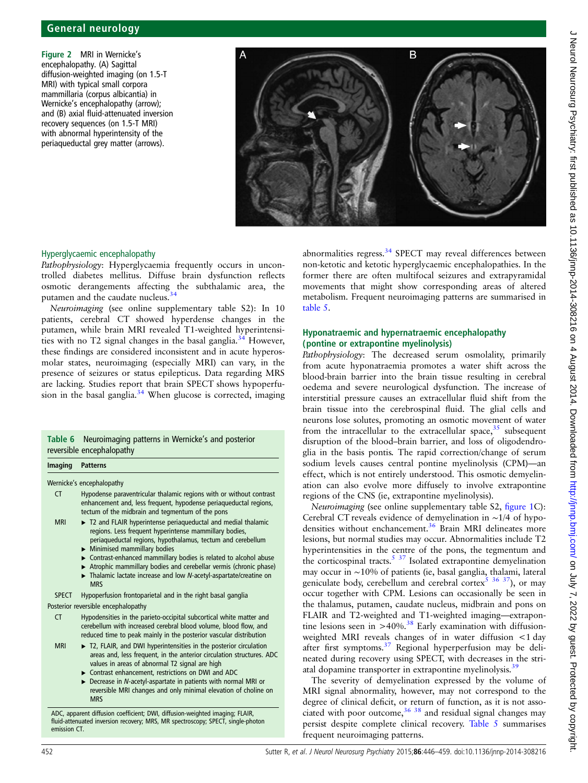<span id="page-6-0"></span>Figure 2 MRI in Wernicke's encephalopathy. (A) Sagittal diffusion-weighted imaging (on 1.5-T MRI) with typical small corpora mammillaria (corpus albicantia) in Wernicke's encephalopathy (arrow); and (B) axial fluid-attenuated inversion recovery sequences (on 1.5-T MRI) with abnormal hyperintensity of the periaqueductal grey matter (arrows).



#### Hyperglycaemic encephalopathy

Pathophysiology: Hyperglycaemia frequently occurs in uncontrolled diabetes mellitus. Diffuse brain dysfunction reflects osmotic derangements affecting the subthalamic area, the putamen and the caudate nucleus.<sup>[34](#page-12-0)</sup>

Neuroimaging (see online [supplementary table](http://jnnp.bmj.com/lookup/suppl/doi:10.1136/jnnp-2014-308216/-/DC1) S2): In 10 patients, cerebral CT showed hyperdense changes in the putamen, while brain MRI revealed T1-weighted hyperintensi-ties with no T2 signal changes in the basal ganglia.<sup>[34](#page-12-0)</sup> However, these findings are considered inconsistent and in acute hyperosmolar states, neuroimaging (especially MRI) can vary, in the presence of seizures or status epilepticus. Data regarding MRS are lacking. Studies report that brain SPECT shows hypoperfusion in the basal ganglia. $34$  When glucose is corrected, imaging

|                           | Table 6 Neuroimaging patterns in Wernicke's and posterior |  |
|---------------------------|-----------------------------------------------------------|--|
| reversible encephalopathy |                                                           |  |



ADC, apparent diffusion coefficient; DWI, diffusion-weighted imaging; FLAIR, fluid-attenuated inversion recovery; MRS, MR spectroscopy; SPECT, single-photon emission CT.

abnormalities regress.<sup>[34](#page-12-0)</sup> SPECT may reveal differences between non-ketotic and ketotic hyperglycaemic encephalopathies. In the former there are often multifocal seizures and extrapyramidal movements that might show corresponding areas of altered metabolism. Frequent neuroimaging patterns are summarised in [table 5.](#page-5-0)

#### Hyponatraemic and hypernatraemic encephalopathy (pontine or extrapontine myelinolysis)

Pathophysiology: The decreased serum osmolality, primarily from acute hyponatraemia promotes a water shift across the blood-brain barrier into the brain tissue resulting in cerebral oedema and severe neurological dysfunction. The increase of interstitial pressure causes an extracellular fluid shift from the brain tissue into the cerebrospinal fluid. The glial cells and neurons lose solutes, promoting an osmotic movement of water from the intracellular to the extracellular space,  $35$  subsequent disruption of the blood–brain barrier, and loss of oligodendroglia in the basis pontis. The rapid correction/change of serum sodium levels causes central pontine myelinolysis (CPM)—an effect, which is not entirely understood. This osmotic demyelination can also evolve more diffusely to involve extrapontine regions of the CNS (ie, extrapontine myelinolysis).

Neuroimaging (see online [supplementary table](http://jnnp.bmj.com/lookup/suppl/doi:10.1136/jnnp-2014-308216/-/DC1) S2, fi[gure 1](#page-2-0)C): Cerebral CT reveals evidence of demyelination in ∼1/4 of hypo-densities without enchancement.<sup>[36](#page-12-0)</sup> Brain MRI delineates more lesions, but normal studies may occur. Abnormalities include T2 hyperintensities in the centre of the pons, the tegmentum and the corticospinal tracts.<sup>[5 37](#page-12-0)</sup> Isolated extrapontine demyelination may occur in ∼10% of patients (ie, basal ganglia, thalami, lateral geniculate body, cerebellum and cerebral cortex<sup>5 36 37</sup>), or may occur together with CPM. Lesions can occasionally be seen in the thalamus, putamen, caudate nucleus, midbrain and pons on FLAIR and T2-weighted and T1-weighted imaging—extrapontine lesions seen in  $>40\%$ .<sup>[38](#page-12-0)</sup> Early examination with diffusionweighted MRI reveals changes of in water diffusion <1 day after first symptoms.<sup>37</sup> Regional hyperperfusion may be delineated during recovery using SPECT, with decreases in the stri-atal dopamine transporter in extrapontine myelinolysis.<sup>[39](#page-12-0)</sup>

The severity of demyelination expressed by the volume of MRI signal abnormality, however, may not correspond to the degree of clinical deficit, or return of function, as it is not associated with poor outcome,  $3638$  and residual signal changes may persist despite complete clinical recovery. [Table 5](#page-5-0) summarises frequent neuroimaging patterns.

**MRS**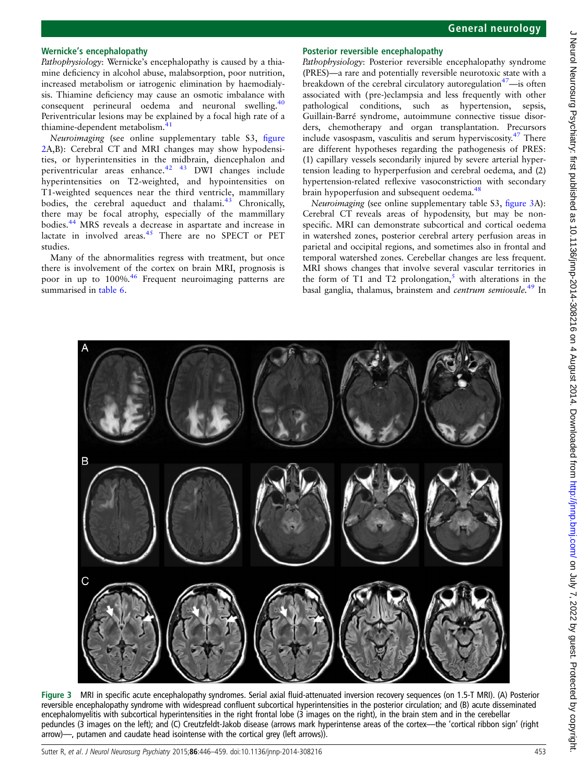#### <span id="page-7-0"></span>Wernicke's encephalopathy

Pathophysiology: Wernicke's encephalopathy is caused by a thiamine deficiency in alcohol abuse, malabsorption, poor nutrition, increased metabolism or iatrogenic elimination by haemodialysis. Thiamine deficiency may cause an osmotic imbalance with consequent perineural oedema and neuronal swelling. $40$ Periventricular lesions may be explained by a focal high rate of a thiamine-dependent metabolism.<sup>[41](#page-12-0)</sup>

Neuroimaging (see online [supplementary table](http://jnnp.bmj.com/lookup/suppl/doi:10.1136/jnnp-2014-308216/-/DC1) S3, fi[gure](#page-6-0) [2](#page-6-0)A,B): Cerebral CT and MRI changes may show hypodensities, or hyperintensities in the midbrain, diencephalon and periventricular areas enhance. $42 \frac{43}{13}$  DWI changes include hyperintensities on T2-weighted, and hypointensities on T1-weighted sequences near the third ventricle, mammillary bodies, the cerebral aqueduct and thalami.<sup>[43](#page-12-0)</sup> Chronically, there may be focal atrophy, especially of the mammillary bodies.[44](#page-12-0) MRS reveals a decrease in aspartate and increase in lactate in involved areas. $45$  There are no SPECT or PET studies.

Many of the abnormalities regress with treatment, but once there is involvement of the cortex on brain MRI, prognosis is poor in up to 100%.<sup>[46](#page-12-0)</sup> Frequent neuroimaging patterns are summarised in [table 6](#page-6-0).

### Posterior reversible encephalopathy

Pathophysiology: Posterior reversible encephalopathy syndrome (PRES)—a rare and potentially reversible neurotoxic state with a breakdown of the cerebral circulatory autoregulation<sup>47</sup>—is often associated with (pre-)eclampsia and less frequently with other pathological conditions, such as hypertension, sepsis, Guillain-Barré syndrome, autoimmune connective tissue disorders, chemotherapy and organ transplantation. Precursors include vasospasm, vasculitis and serum hyperviscosity.<sup>[47](#page-12-0)</sup> There are different hypotheses regarding the pathogenesis of PRES: (1) capillary vessels secondarily injured by severe arterial hypertension leading to hyperperfusion and cerebral oedema, and (2) hypertension-related reflexive vasoconstriction with secondary brain hypoperfusion and subsequent oedema.<sup>[48](#page-12-0)</sup>

Neuroimaging (see online [supplementary table](http://jnnp.bmj.com/lookup/suppl/doi:10.1136/jnnp-2014-308216/-/DC1) S3, figure 3A): Cerebral CT reveals areas of hypodensity, but may be nonspecific. MRI can demonstrate subcortical and cortical oedema in watershed zones, posterior cerebral artery perfusion areas in parietal and occipital regions, and sometimes also in frontal and temporal watershed zones. Cerebellar changes are less frequent. MRI shows changes that involve several vascular territories in the form of T1 and T2 prolongation, with alterations in the basal ganglia, thalamus, brainstem and *centrum semiovale*.<sup>[49](#page-13-0)</sup> In



Figure 3 MRI in specific acute encephalopathy syndromes. Serial axial fluid-attenuated inversion recovery sequences (on 1.5-T MRI). (A) Posterior reversible encephalopathy syndrome with widespread confluent subcortical hyperintensities in the posterior circulation; and (B) acute disseminated encephalomyelitis with subcortical hyperintensities in the right frontal lobe (3 images on the right), in the brain stem and in the cerebellar peduncles (3 images on the left); and (C) Creutzfeldt-Jakob disease (arrows mark hyperintense areas of the cortex—the 'cortical ribbon sign' (right arrow)—, putamen and caudate head isointense with the cortical grey (left arrows)).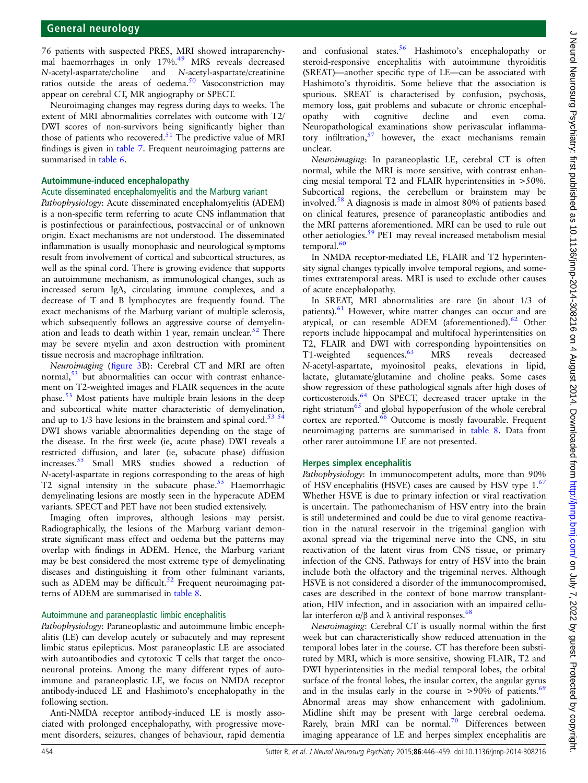76 patients with suspected PRES, MRI showed intraparenchy-mal haemorrhages in only 17%.<sup>[49](#page-13-0)</sup> MRS reveals decreased N-acetyl-aspartate/choline and N-acetyl-aspartate/creatinine<br>ratios outside the areas of oedema.<sup>50</sup> Vasoconstriction may ratios outside the areas of oedema.<sup>50</sup> Vasoconstriction may appear on cerebral CT, MR angiography or SPECT.

Neuroimaging changes may regress during days to weeks. The extent of MRI abnormalities correlates with outcome with T2/ DWI scores of non-survivors being significantly higher than those of patients who recovered.<sup>[51](#page-13-0)</sup> The predictive value of MRI findings is given in [table 7.](#page-9-0) Frequent neuroimaging patterns are summarised in [table 6](#page-6-0).

#### Autoimmune-induced encephalopathy

#### Acute disseminated encephalomyelitis and the Marburg variant

Pathophysiology: Acute disseminated encephalomyelitis (ADEM) is a non-specific term referring to acute CNS inflammation that is postinfectious or parainfectious, postvaccinal or of unknown origin. Exact mechanisms are not understood. The disseminated inflammation is usually monophasic and neurological symptoms result from involvement of cortical and subcortical structures, as well as the spinal cord. There is growing evidence that supports an autoimmune mechanism, as immunological changes, such as increased serum IgA, circulating immune complexes, and a decrease of T and B lymphocytes are frequently found. The exact mechanisms of the Marburg variant of multiple sclerosis, which subsequently follows an aggressive course of demyelin-ation and leads to death within 1 year, remain unclear.<sup>[52](#page-13-0)</sup> There may be severe myelin and axon destruction with prominent tissue necrosis and macrophage infiltration.

Neur[oim](#page-13-0)aging (fi[gure 3B](#page-7-0)): Cerebral CT and MRI are often normal,<sup>53</sup> but abnormalities can occur with contrast enhancement on T2-weighted images and FLAIR sequences in the acute phase.<sup>[53](#page-13-0)</sup> Most patients have multiple brain lesions in the deep and subcortical white matter characteristic of demyelination, and up to  $1/3$  have lesions in the brainstem and spinal cord.<sup>[53 54](#page-13-0)</sup> DWI shows variable abnormalities depending on the stage of the disease. In the first week (ie, acute phase) DWI reveals a restricted diffusion, and later (ie, subacute phase) diffusion increases.[55](#page-13-0) Small MRS studies showed a reduction of N-acetyl-aspartate in regions corresponding to the areas of high T2 signal intensity in the subacute phase.<sup>[55](#page-13-0)</sup> Haemorrhagic demyelinating lesions are mostly seen in the hyperacute ADEM variants. SPECT and PET have not been studied extensively.

Imaging often improves, although lesions may persist. Radiographically, the lesions of the Marburg variant demonstrate significant mass effect and oedema but the patterns may overlap with findings in ADEM. Hence, the Marburg variant may be best considered the most extreme type of demyelinating diseases and distinguishing it from other fulminant variants, such as ADEM may be difficult.<sup>[52](#page-13-0)</sup> Frequent neuroimaging patterns of ADEM are summarised in [table 8](#page-10-0).

### Autoimmune and paraneoplastic limbic encephalitis

Pathophysiology: Paraneoplastic and autoimmune limbic encephalitis (LE) can develop acutely or subacutely and may represent limbic status epilepticus. Most paraneoplastic LE are associated with autoantibodies and cytotoxic T cells that target the onconeuronal proteins. Among the many different types of autoimmune and paraneoplastic LE, we focus on NMDA receptor antibody-induced LE and Hashimoto's encephalopathy in the following section.

Anti-NMDA receptor antibody-induced LE is mostly associated with prolonged encephalopathy, with progressive movement disorders, seizures, changes of behaviour, rapid dementia and confusional states.<sup>[56](#page-13-0)</sup> Hashimoto's encephalopathy or steroid-responsive encephalitis with autoimmune thyroiditis (SREAT)—another specific type of LE—can be associated with Hashimoto's thyroiditis. Some believe that the association is spurious. SREAT is characterised by confusion, psychosis, memory loss, gait problems and subacute or chronic encephalopathy with cognitive decline and even coma. Neuropathological examinations show perivascular inflammatory infiltration, $57$  however, the exact mechanisms remain unclear.

Neuroimaging: In paraneoplastic LE, cerebral CT is often normal, while the MRI is more sensitive, with contrast enhancing mesial temporal T2 and FLAIR hyperintensities in >50%. Subcortical regions, the cerebellum or brainstem may be involved.[58](#page-13-0) A diagnosis is made in almost 80% of patients based on clinical features, presence of paraneoplastic antibodies and the MRI patterns aforementioned. MRI can be used to rule out other aetiologies.[59](#page-13-0) PET may reveal increased metabolism mesial temporal.<sup>[60](#page-13-0)</sup>

In NMDA receptor-mediated LE, FLAIR and T2 hyperintensity signal changes typically involve temporal regions, and sometimes extratemporal areas. MRI is used to exclude other causes of acute encephalopathy.

In SREAT, MRI abnormalities are rare (in about 1/3 of patients).<sup>61</sup> However, white matter changes can occur and are atypical, or can resemble ADEM (aforementioned). $62$  Other reports include hippocampal and multifocal hyperintensities on T2, FLAIR and DWI with corresponding hypointensities on T1-weighted sequences[.63](#page-13-0) MRS reveals decreased N-acetyl-aspartate, myoinositol peaks, elevations in lipid, lactate, glutamate/glutamine and choline peaks. Some cases show regression of these pathological signals after high doses of corticosteroids.<sup>[64](#page-13-0)</sup> On SPECT, decreased tracer uptake in the right striatum<sup>[65](#page-13-0)</sup> and global hypoperfusion of the whole cerebral cortex are reported.<sup>[66](#page-13-0)</sup> Outcome is mostly favourable. Frequent neuroimaging patterns are summarised in [table 8](#page-10-0). Data from other rarer autoimmune LE are not presented.

### Herpes simplex encephalitis

Pathophysiology: In immunocompetent adults, more than 90% of HSV encephalitis (HSVE) cases are caused by HSV type 1.<sup>[67](#page-13-0)</sup> Whether HSVE is due to primary infection or viral reactivation is uncertain. The pathomechanism of HSV entry into the brain is still undetermined and could be due to viral genome reactivation in the natural reservoir in the trigeminal ganglion with axonal spread via the trigeminal nerve into the CNS, in situ reactivation of the latent virus from CNS tissue, or primary infection of the CNS. Pathways for entry of HSV into the brain include both the olfactory and the trigeminal nerves. Although HSVE is not considered a disorder of the immunocompromised, cases are described in the context of bone marrow transplantation, HIV infection, and in association with an impaired cellular interferon  $α/β$  and λ antiviral responses.<sup>[68](#page-13-0)</sup>

Neuroimaging: Cerebral CT is usually normal within the first week but can characteristically show reduced attenuation in the temporal lobes later in the course. CT has therefore been substituted by MRI, which is more sensitive, showing FLAIR, T2 and DWI hyperintensities in the medial temporal lobes, the orbital surface of the frontal lobes, the insular cortex, the angular gyrus and in the insulas early in the course in  $>90\%$  of patients.<sup>[69](#page-13-0)</sup> Abnormal areas may show enhancement with gadolinium. Midline shift may be present with large cerebral oedema. Rarely, brain MRI can be normal.<sup>[70](#page-13-0)</sup> Differences between imaging appearance of LE and herpes simplex encephalitis are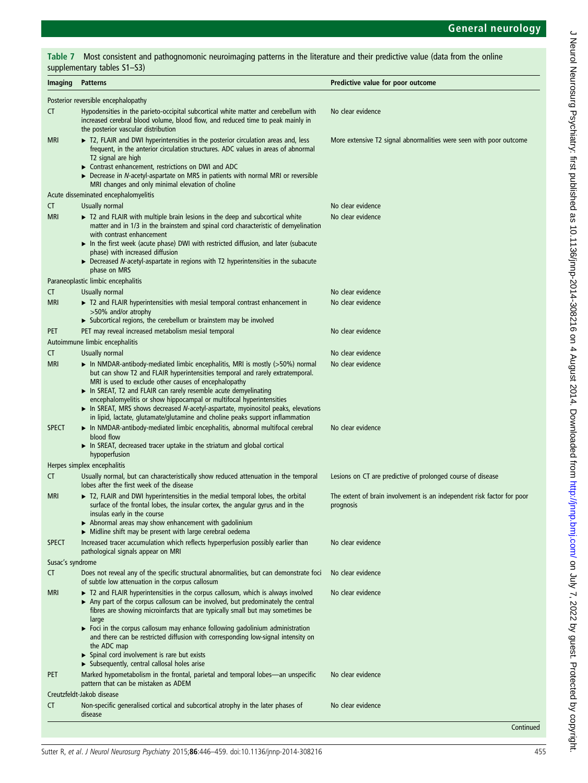<span id="page-9-0"></span>

| Table 7 Most consistent and pathognomonic neuroimaging patterns in the literature and their predictive value (data from the online |
|------------------------------------------------------------------------------------------------------------------------------------|
| supplementary tables S1–S3)                                                                                                        |

| <b>Imaging</b>   | וכנ—וכ כanic (מעוז)<br><b>Patterns</b>                                                                                                                                                                                                                                                                                                                                                                                                                                                                                              | Predictive value for poor outcome                                                   |  |  |
|------------------|-------------------------------------------------------------------------------------------------------------------------------------------------------------------------------------------------------------------------------------------------------------------------------------------------------------------------------------------------------------------------------------------------------------------------------------------------------------------------------------------------------------------------------------|-------------------------------------------------------------------------------------|--|--|
|                  | Posterior reversible encephalopathy                                                                                                                                                                                                                                                                                                                                                                                                                                                                                                 |                                                                                     |  |  |
| CT               | Hypodensities in the parieto-occipital subcortical white matter and cerebellum with<br>increased cerebral blood volume, blood flow, and reduced time to peak mainly in<br>the posterior vascular distribution                                                                                                                                                                                                                                                                                                                       | No clear evidence                                                                   |  |  |
| <b>MRI</b>       | $\triangleright$ T2, FLAIR and DWI hyperintensities in the posterior circulation areas and, less<br>frequent, in the anterior circulation structures. ADC values in areas of abnormal<br>T <sub>2</sub> signal are high<br>Contrast enhancement, restrictions on DWI and ADC<br>$\triangleright$ Decrease in N-acetyl-aspartate on MRS in patients with normal MRI or reversible<br>MRI changes and only minimal elevation of choline                                                                                               | More extensive T2 signal abnormalities were seen with poor outcome                  |  |  |
|                  | Acute disseminated encephalomyelitis                                                                                                                                                                                                                                                                                                                                                                                                                                                                                                |                                                                                     |  |  |
| CT.              | Usually normal                                                                                                                                                                                                                                                                                                                                                                                                                                                                                                                      | No clear evidence                                                                   |  |  |
| <b>MRI</b>       | $\triangleright$ T2 and FLAIR with multiple brain lesions in the deep and subcortical white<br>matter and in 1/3 in the brainstem and spinal cord characteristic of demyelination<br>with contrast enhancement<br>$\blacktriangleright$ In the first week (acute phase) DWI with restricted diffusion, and later (subacute<br>phase) with increased diffusion<br>▶ Decreased N-acetyl-aspartate in regions with T2 hyperintensities in the subacute<br>phase on MRS                                                                 | No clear evidence                                                                   |  |  |
|                  | Paraneoplastic limbic encephalitis                                                                                                                                                                                                                                                                                                                                                                                                                                                                                                  |                                                                                     |  |  |
| CT               | Usually normal                                                                                                                                                                                                                                                                                                                                                                                                                                                                                                                      | No clear evidence                                                                   |  |  |
| <b>MRI</b>       | T2 and FLAIR hyperintensities with mesial temporal contrast enhancement in<br>>50% and/or atrophy<br>Subcortical regions, the cerebellum or brainstem may be involved                                                                                                                                                                                                                                                                                                                                                               | No clear evidence                                                                   |  |  |
| PET              | PET may reveal increased metabolism mesial temporal                                                                                                                                                                                                                                                                                                                                                                                                                                                                                 | No clear evidence                                                                   |  |  |
|                  | Autoimmune limbic encephalitis                                                                                                                                                                                                                                                                                                                                                                                                                                                                                                      |                                                                                     |  |  |
| CT               | Usually normal                                                                                                                                                                                                                                                                                                                                                                                                                                                                                                                      | No clear evidence                                                                   |  |  |
| <b>MRI</b>       | In NMDAR-antibody-mediated limbic encephalitis, MRI is mostly (>50%) normal<br>but can show T2 and FLAIR hyperintensities temporal and rarely extratemporal.<br>MRI is used to exclude other causes of encephalopathy<br>In SREAT, T2 and FLAIR can rarely resemble acute demyelinating<br>encephalomyelitis or show hippocampal or multifocal hyperintensities<br>In SREAT, MRS shows decreased N-acetyl-aspartate, myoinositol peaks, elevations<br>in lipid, lactate, glutamate/glutamine and choline peaks support inflammation | No clear evidence                                                                   |  |  |
| <b>SPECT</b>     | In NMDAR-antibody-mediated limbic encephalitis, abnormal multifocal cerebral<br>blood flow<br>In SREAT, decreased tracer uptake in the striatum and global cortical                                                                                                                                                                                                                                                                                                                                                                 | No clear evidence                                                                   |  |  |
|                  | hypoperfusion<br>Herpes simplex encephalitis                                                                                                                                                                                                                                                                                                                                                                                                                                                                                        |                                                                                     |  |  |
| CT               | Usually normal, but can characteristically show reduced attenuation in the temporal<br>lobes after the first week of the disease                                                                                                                                                                                                                                                                                                                                                                                                    | Lesions on CT are predictive of prolonged course of disease                         |  |  |
| <b>MRI</b>       | $\triangleright$ T2, FLAIR and DWI hyperintensities in the medial temporal lobes, the orbital<br>surface of the frontal lobes, the insular cortex, the angular gyrus and in the<br>insulas early in the course<br>> Abnormal areas may show enhancement with gadolinium<br>Midline shift may be present with large cerebral oedema                                                                                                                                                                                                  | The extent of brain involvement is an independent risk factor for poor<br>prognosis |  |  |
| <b>SPECT</b>     | Increased tracer accumulation which reflects hyperperfusion possibly earlier than<br>pathological signals appear on MRI                                                                                                                                                                                                                                                                                                                                                                                                             | No clear evidence                                                                   |  |  |
| Susac's syndrome |                                                                                                                                                                                                                                                                                                                                                                                                                                                                                                                                     |                                                                                     |  |  |
| CT.              | Does not reveal any of the specific structural abnormalities, but can demonstrate foci<br>of subtle low attenuation in the corpus callosum                                                                                                                                                                                                                                                                                                                                                                                          | No clear evidence                                                                   |  |  |
| <b>MRI</b>       | T2 and FLAIR hyperintensities in the corpus callosum, which is always involved<br>Any part of the corpus callosum can be involved, but predominately the central<br>fibres are showing microinfarcts that are typically small but may sometimes be<br>large                                                                                                                                                                                                                                                                         | No clear evidence                                                                   |  |  |
|                  | $\triangleright$ Foci in the corpus callosum may enhance following gadolinium administration<br>and there can be restricted diffusion with corresponding low-signal intensity on<br>the ADC map<br>▶ Spinal cord involvement is rare but exists                                                                                                                                                                                                                                                                                     |                                                                                     |  |  |
| PET              | Subsequently, central callosal holes arise<br>Marked hypometabolism in the frontal, parietal and temporal lobes-an unspecific                                                                                                                                                                                                                                                                                                                                                                                                       | No clear evidence                                                                   |  |  |
|                  | pattern that can be mistaken as ADEM                                                                                                                                                                                                                                                                                                                                                                                                                                                                                                |                                                                                     |  |  |
|                  | Creutzfeldt-Jakob disease                                                                                                                                                                                                                                                                                                                                                                                                                                                                                                           |                                                                                     |  |  |
| CT               | Non-specific generalised cortical and subcortical atrophy in the later phases of<br>disease                                                                                                                                                                                                                                                                                                                                                                                                                                         | No clear evidence                                                                   |  |  |
|                  |                                                                                                                                                                                                                                                                                                                                                                                                                                                                                                                                     | Continued                                                                           |  |  |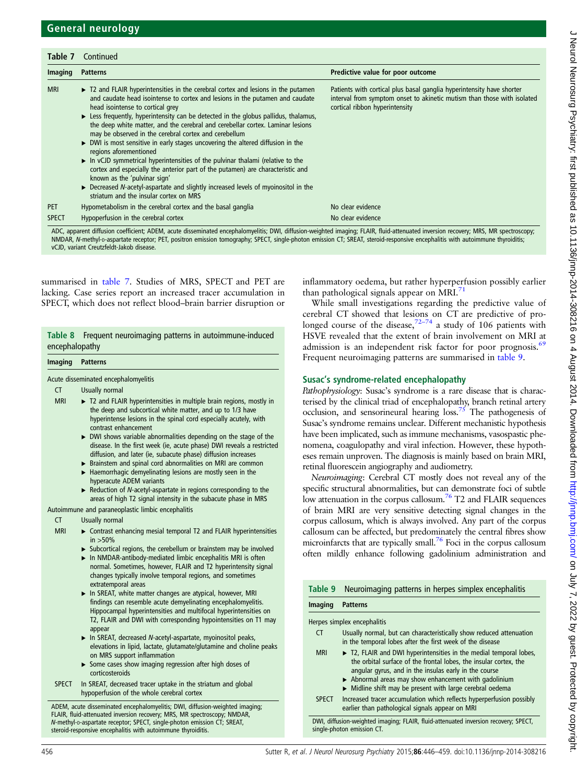<span id="page-10-0"></span>

| Imaging      | <b>Patterns</b>                                                                                                                                                                                                                                                                                                                                                                                                                                                                                                                                                                                                                                                                                                                                                                                                                                                                                       | Predictive value for poor outcome                                                                                                                                                  |
|--------------|-------------------------------------------------------------------------------------------------------------------------------------------------------------------------------------------------------------------------------------------------------------------------------------------------------------------------------------------------------------------------------------------------------------------------------------------------------------------------------------------------------------------------------------------------------------------------------------------------------------------------------------------------------------------------------------------------------------------------------------------------------------------------------------------------------------------------------------------------------------------------------------------------------|------------------------------------------------------------------------------------------------------------------------------------------------------------------------------------|
| <b>MRI</b>   | $\triangleright$ T2 and FLAIR hyperintensities in the cerebral cortex and lesions in the putamen<br>and caudate head isointense to cortex and lesions in the putamen and caudate<br>head isointense to cortical grey<br>Eless frequently, hyperintensity can be detected in the globus pallidus, thalamus,<br>the deep white matter, and the cerebral and cerebellar cortex. Laminar lesions<br>may be observed in the cerebral cortex and cerebellum<br>► DWI is most sensitive in early stages uncovering the altered diffusion in the<br>regions aforementioned<br>In vCJD symmetrical hyperintensities of the pulvinar thalami (relative to the<br>cortex and especially the anterior part of the putamen) are characteristic and<br>known as the 'pulvinar sign'<br>► Decreased N-acetyl-aspartate and slightly increased levels of myoinositol in the<br>striatum and the insular cortex on MRS | Patients with cortical plus basal ganglia hyperintensity have shorter<br>interval from symptom onset to akinetic mutism than those with isolated<br>cortical ribbon hyperintensity |
| <b>PET</b>   | Hypometabolism in the cerebral cortex and the basal ganglia                                                                                                                                                                                                                                                                                                                                                                                                                                                                                                                                                                                                                                                                                                                                                                                                                                           | No clear evidence                                                                                                                                                                  |
| <b>SPECT</b> | Hypoperfusion in the cerebral cortex                                                                                                                                                                                                                                                                                                                                                                                                                                                                                                                                                                                                                                                                                                                                                                                                                                                                  | No clear evidence                                                                                                                                                                  |

ADC, apparent diffusion coefficient; ADEM, acute disseminated encephalomyelitis; DWI, diffusion-weighted imaging; FLAIR, fluid-attenuated inversion recovery; MRS, MR spectroscopy;<br>NMDAR, N-methyl-o-aspartate receptor; PET, vCJD, variant Creutzfeldt-Jakob disease.

summarised in [table 7](#page-9-0). Studies of MRS, SPECT and PET are lacking. Case series report an increased tracer accumulation in SPECT, which does not reflect blood–brain barrier disruption or

| Frequent neuroimaging patterns in autoimmune-induced<br>Table 8<br>encephalopathy |                                                                                                                                                                                                                                                                                                                                                                                                                                                                                                                                                                                                                                                                                                                                                                                                                      |  |
|-----------------------------------------------------------------------------------|----------------------------------------------------------------------------------------------------------------------------------------------------------------------------------------------------------------------------------------------------------------------------------------------------------------------------------------------------------------------------------------------------------------------------------------------------------------------------------------------------------------------------------------------------------------------------------------------------------------------------------------------------------------------------------------------------------------------------------------------------------------------------------------------------------------------|--|
| Imaging                                                                           | <b>Patterns</b>                                                                                                                                                                                                                                                                                                                                                                                                                                                                                                                                                                                                                                                                                                                                                                                                      |  |
| <b>CT</b><br><b>MRI</b>                                                           | Acute disseminated encephalomyelitis<br>Usually normal<br>T2 and FLAIR hyperintensities in multiple brain regions, mostly in<br>the deep and subcortical white matter, and up to 1/3 have<br>hyperintense lesions in the spinal cord especially acutely, with<br>contrast enhancement<br>DWI shows variable abnormalities depending on the stage of the<br>disease. In the first week (ie, acute phase) DWI reveals a restricted<br>diffusion, and later (ie, subacute phase) diffusion increases<br>> Brainstem and spinal cord abnormalities on MRI are common<br>Haemorrhagic demyelinating lesions are mostly seen in the<br>hyperacute ADEM variants<br>$\blacktriangleright$ Reduction of N-acetyl-aspartate in regions corresponding to the<br>areas of high T2 signal intensity in the subacute phase in MRS |  |
|                                                                                   | Autoimmune and paraneoplastic limbic encephalitis                                                                                                                                                                                                                                                                                                                                                                                                                                                                                                                                                                                                                                                                                                                                                                    |  |
| СT                                                                                | Usually normal                                                                                                                                                                                                                                                                                                                                                                                                                                                                                                                                                                                                                                                                                                                                                                                                       |  |
| <b>MRI</b>                                                                        | > Contrast enhancing mesial temporal T2 and FLAIR hyperintensities<br>in $>50\%$                                                                                                                                                                                                                                                                                                                                                                                                                                                                                                                                                                                                                                                                                                                                     |  |
|                                                                                   | Subcortical regions, the cerebellum or brainstem may be involved<br>In NMDAR-antibody-mediated limbic encephalitis MRI is often<br>normal. Sometimes, however, FLAIR and T2 hyperintensity signal<br>changes typically involve temporal regions, and sometimes<br>extratemporal areas<br>In SREAT, white matter changes are atypical, however, MRI                                                                                                                                                                                                                                                                                                                                                                                                                                                                   |  |
|                                                                                   | findings can resemble acute demyelinating encephalomyelitis.<br>Hippocampal hyperintensities and multifocal hyperintensities on<br>T2, FLAIR and DWI with corresponding hypointensities on T1 may<br>appear                                                                                                                                                                                                                                                                                                                                                                                                                                                                                                                                                                                                          |  |
|                                                                                   | In SREAT, decreased N-acetyl-aspartate, myoinositol peaks,<br>elevations in lipid, lactate, glutamate/glutamine and choline peaks<br>on MRS support inflammation<br>Some cases show imaging regression after high doses of                                                                                                                                                                                                                                                                                                                                                                                                                                                                                                                                                                                           |  |
| <b>SPECT</b>                                                                      | corticosteroids<br>In SREAT, decreased tracer uptake in the striatum and global<br>hypoperfusion of the whole cerebral cortex                                                                                                                                                                                                                                                                                                                                                                                                                                                                                                                                                                                                                                                                                        |  |

ADEM, acute disseminated encephalomyelitis; DWI, diffusion-weighted imaging; FLAIR, fluid-attenuated inversion recovery; MRS, MR spectroscopy; NMDAR, N-methyl-D-aspartate receptor; SPECT, single-photon emission CT; SREAT, steroid-responsive encephalitis with autoimmune thyroiditis.

inflammatory oedema, but rather hyperperfusion possibly earlier than pathological signals appear on  $MRI$ .<sup>7</sup>

While small investigations regarding the predictive value of cerebral CT showed that lesions on CT are predictive of prolonged course of the disease, $72-74$  a study of 106 patients with HSVE revealed that the extent of brain involvement on MRI at admission is an independent risk factor for poor prognosis.<sup>[69](#page-13-0)</sup> Frequent neuroimaging patterns are summarised in table 9.

#### Susac's syndrome-related encephalopathy

Pathophysiology: Susac's syndrome is a rare disease that is characterised by the clinical triad of encephalopathy, branch retinal artery occlusion, and sensorineural hearing loss.<sup>[75](#page-13-0)</sup> The pathogenesis of Susac's syndrome remains unclear. Different mechanistic hypothesis have been implicated, such as immune mechanisms, vasospastic phenomena, coagulopathy and viral infection. However, these hypotheses remain unproven. The diagnosis is mainly based on brain MRI, retinal fluorescein angiography and audiometry.

Neuroimaging: Cerebral CT mostly does not reveal any of the specific structural abnormalities, but can demonstrate foci of subtle low attenuation in the corpus callosum.<sup>76</sup> T2 and FLAIR sequences of brain MRI are very sensitive detecting signal changes in the corpus callosum, which is always involved. Any part of the corpus callosum can be affected, but predominately the central fibres show microinfarcts that are typically small.<sup>[76](#page-13-0)</sup> Foci in the corpus callosum often mildly enhance following gadolinium administration and

| Table 9      | Neuroimaging patterns in herpes simplex encephalitis                                                                                                                                                                                                                                                                                               |
|--------------|----------------------------------------------------------------------------------------------------------------------------------------------------------------------------------------------------------------------------------------------------------------------------------------------------------------------------------------------------|
| Imaging      | <b>Patterns</b>                                                                                                                                                                                                                                                                                                                                    |
|              | Herpes simplex encephalitis                                                                                                                                                                                                                                                                                                                        |
| CT.          | Usually normal, but can characteristically show reduced attenuation<br>in the temporal lobes after the first week of the disease                                                                                                                                                                                                                   |
| <b>MRI</b>   | $\triangleright$ T2, FLAIR and DWI hyperintensities in the medial temporal lobes,<br>the orbital surface of the frontal lobes, the insular cortex, the<br>angular gyrus, and in the insulas early in the course<br>$\triangleright$ Abnormal areas may show enhancement with gadolinium<br>Midline shift may be present with large cerebral oedema |
| <b>SPECT</b> | Increased tracer accumulation which reflects hyperperfusion possibly<br>earlier than pathological signals appear on MRI                                                                                                                                                                                                                            |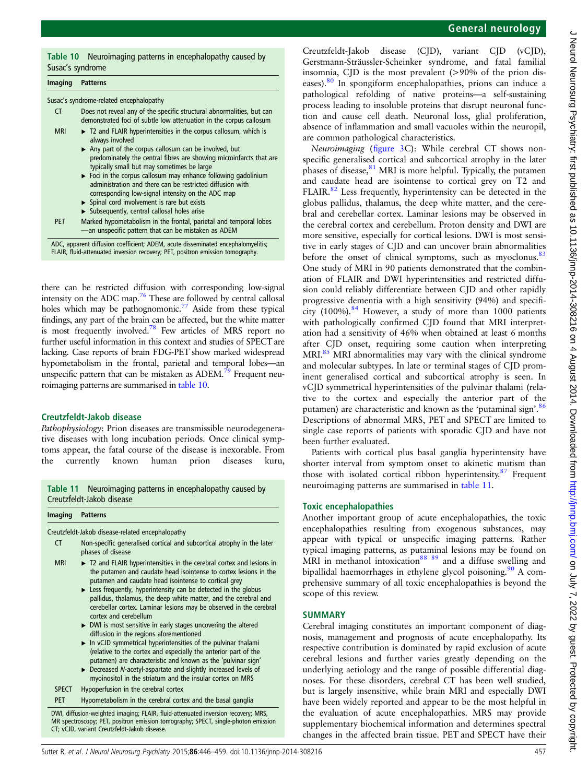|                  | Table 10 Neuroimaging patterns in encephalopathy caused by |  |
|------------------|------------------------------------------------------------|--|
| Susac's syndrome |                                                            |  |

| Imaging    | <b>Patterns</b>                                                                                                                                                                                                                                                                                                                                                                                                                                                                                                                                                                                                    |  |  |
|------------|--------------------------------------------------------------------------------------------------------------------------------------------------------------------------------------------------------------------------------------------------------------------------------------------------------------------------------------------------------------------------------------------------------------------------------------------------------------------------------------------------------------------------------------------------------------------------------------------------------------------|--|--|
|            | Susac's syndrome-related encephalopathy                                                                                                                                                                                                                                                                                                                                                                                                                                                                                                                                                                            |  |  |
| CT         | Does not reveal any of the specific structural abnormalities, but can<br>demonstrated foci of subtle low attenuation in the corpus callosum                                                                                                                                                                                                                                                                                                                                                                                                                                                                        |  |  |
| <b>MRI</b> | $\triangleright$ T2 and FLAIR hyperintensities in the corpus callosum, which is<br>always involved<br>$\triangleright$ Any part of the corpus callosum can be involved, but<br>predominately the central fibres are showing microinfarcts that are<br>typically small but may sometimes be large<br>$\triangleright$ Foci in the corpus callosum may enhance following gadolinium<br>administration and there can be restricted diffusion with<br>corresponding low-signal intensity on the ADC map<br>▶ Spinal cord involvement is rare but exists<br>$\triangleright$ Subsequently, central callosal holes arise |  |  |
| PET        | Marked hypometabolism in the frontal, parietal and temporal lobes                                                                                                                                                                                                                                                                                                                                                                                                                                                                                                                                                  |  |  |

PET Marked hypometabolism in the frontal, parietal and temporal lobes —an unspecific pattern that can be mistaken as ADEM

ADC, apparent diffusion coefficient; ADEM, acute disseminated encephalomyelitis; FLAIR, fluid-attenuated inversion recovery; PET, positron emission tomography.

there can be restricted diffusion with corresponding low-signal intensity on the ADC map[.76](#page-13-0) These are followed by central callosal holes which may be pathognomonic.<sup>[77](#page-13-0)</sup> Aside from these typical findings, any part of the brain can be affected, but the white matter is most frequently involved[.78](#page-13-0) Few articles of MRS report no further useful information in this context and studies of SPECT are lacking. Case reports of brain FDG-PET show marked widespread hypometabolism in the frontal, parietal and temporal lobes—an unspecific pattern that can be mistaken as ADEM.<sup>79</sup> Frequent neuroimaging patterns are summarised in table 10.

#### Creutzfeldt-Jakob disease

Pathophysiology: Prion diseases are transmissible neurodegenerative diseases with long incubation periods. Once clinical symptoms appear, the fatal course of the disease is inexorable. From the currently known human prion diseases kuru,

Table 11 Neuroimaging patterns in encephalopathy caused by Creutzfeldt-Jakob disease

#### Imaging Patterns

Creutzfeldt-Jakob disease-related encephalopathy

- CT Non-specific generalised cortical and subcortical atrophy in the later phases of disease
- $MRI \rightarrow T2$  and FLAIR hyperintensities in the cerebral cortex and lesions in the putamen and caudate head isointense to cortex lesions in the putamen and caudate head isointense to cortical grey
	- ▸ Less frequently, hyperintensity can be detected in the globus pallidus, thalamus, the deep white matter, and the cerebral and cerebellar cortex. Laminar lesions may be observed in the cerebral cortex and cerebellum
	- ▸ DWI is most sensitive in early stages uncovering the altered diffusion in the regions aforementioned
	- $\blacktriangleright$  In vCJD symmetrical hyperintensities of the pulvinar thalami (relative to the cortex and especially the anterior part of the putamen) are characteristic and known as the 'pulvinar sign'
	- ▸ Decreased N-acetyl-aspartate and slightly increased levels of myoinositol in the striatum and the insular cortex on MRS
- SPECT Hypoperfusion in the cerebral cortex
- PET Hypometabolism in the cerebral cortex and the basal ganglia

DWI, diffusion-weighted imaging; FLAIR, fluid-attenuated inversion recovery; MRS, MR spectroscopy; PET, positron emission tomography; SPECT, single-photon emission CT; vCJD, variant Creutzfeldt-Jakob disease.

Creutzfeldt-Jakob disease (CJD), variant CJD (vCJD), Gerstmann-Sträussler-Scheinker syndrome, and fatal familial insomnia, CJD is the most prevalent (>90% of the prion diseases).[80](#page-13-0) In spongiform encephalopathies, prions can induce a pathological refolding of native proteins—a self-sustaining process leading to insoluble proteins that disrupt neuronal function and cause cell death. Neuronal loss, glial proliferation, absence of inflammation and small vacuoles within the neuropil, are common pathological characteristics.

Neuroimaging (fi[gure 3C](#page-7-0)): While cerebral CT shows nonspecific generalised cortical and subcortical atrophy in the later phases of disease, $81$  MRI is more helpful. Typically, the putamen and caudate head are isointense to cortical grey on T2 and FLAIR.<sup>[82](#page-13-0)</sup> Less frequently, hyperintensity can be detected in the globus pallidus, thalamus, the deep white matter, and the cerebral and cerebellar cortex. Laminar lesions may be observed in the cerebral cortex and cerebellum. Proton density and DWI are more sensitive, especially for cortical lesions. DWI is most sensitive in early stages of CJD and can uncover brain abnormalities before the onset of clinical symptoms, such as myoclonus.<sup>[83](#page-13-0)</sup> One study of MRI in 90 patients demonstrated that the combination of FLAIR and DWI hyperintensities and restricted diffusion could reliably differentiate between CJD and other rapidly progressive dementia with a high sensitivity (94%) and specifi-city (100%).<sup>[84](#page-13-0)</sup> However, a study of more than 1000 patients with pathologically confirmed CJD found that MRI interpretation had a sensitivity of 46% when obtained at least 6 months after CJD onset, requiring some caution when interpreting MRI.<sup>85</sup> MRI abnormalities may vary with the clinical syndrome and molecular subtypes. In late or terminal stages of CJD prominent generalised cortical and subcortical atrophy is seen. In vCJD symmetrical hyperintensities of the pulvinar thalami (relative to the cortex and especially the anterior part of the putamen) are characteristic and known as the 'putaminal sign'.<sup>[86](#page-13-0)</sup> Descriptions of abnormal MRS, PET and SPECT are limited to single case reports of patients with sporadic CJD and have not been further evaluated.

Patients with cortical plus basal ganglia hyperintensity have shorter interval from symptom onset to akinetic mutism than those with isolated cortical ribbon hyperintensity.<sup>[87](#page-13-0)</sup> Frequent neuroimaging patterns are summarised in table 11.

#### Toxic encephalopathies

Another important group of acute encephalopathies, the toxic encephalopathies resulting from exogenous substances, may appear with typical or unspecific imaging patterns. Rather typical imaging patterns, as putaminal lesions may be found on MRI in methanol intoxication<sup>[88 89](#page-13-0)</sup> and a diffuse swelling and bipallidal haemorrhages in ethylene glycol poisoning.<sup>[90](#page-13-0)</sup> A comprehensive summary of all toxic encephalopathies is beyond the scope of this review.

#### **SUMMARY**

Cerebral imaging constitutes an important component of diagnosis, management and prognosis of acute encephalopathy. Its respective contribution is dominated by rapid exclusion of acute cerebral lesions and further varies greatly depending on the underlying aetiology and the range of possible differential diagnoses. For these disorders, cerebral CT has been well studied, but is largely insensitive, while brain MRI and especially DWI have been widely reported and appear to be the most helpful in the evaluation of acute encephalopathies. MRS may provide supplementary biochemical information and determines spectral changes in the affected brain tissue. PET and SPECT have their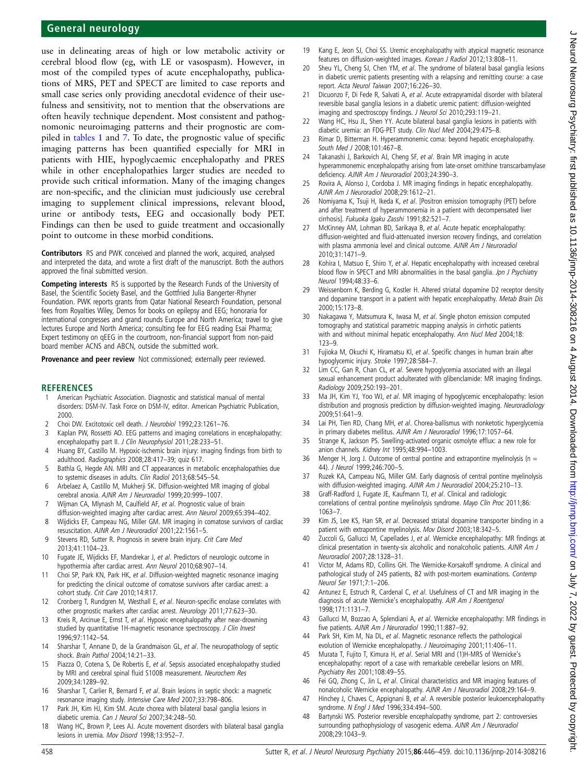# <span id="page-12-0"></span>General neurology

use in delineating areas of high or low metabolic activity or cerebral blood flow (eg, with LE or vasospasm). However, in most of the compiled types of acute encephalopathy, publications of MRS, PET and SPECT are limited to case reports and small case series only providing anecdotal evidence of their usefulness and sensitivity, not to mention that the observations are often heavily technique dependent. Most consistent and pathognomonic neuroimaging patterns and their prognostic are compiled in [tables 1](#page-3-0) and [7](#page-9-0). To date, the prognostic value of specific imaging patterns has been quantified especially for MRI in patients with HIE, hypoglycaemic encephalopathy and PRES while in other encephalopathies larger studies are needed to provide such critical information. Many of the imaging changes are non-specific, and the clinician must judiciously use cerebral imaging to supplement clinical impressions, relevant blood, urine or antibody tests, EEG and occasionally body PET. Findings can then be used to guide treatment and occasionally point to outcome in these morbid conditions.

Contributors RS and PWK conceived and planned the work, acquired, analysed and interpreted the data, and wrote a first draft of the manuscript. Both the authors approved the final submitted version.

Competing interests RS is supported by the Research Funds of the University of Basel, the Scientific Society Basel, and the Gottfried Julia Bangerter-Rhyner Foundation. PWK reports grants from Qatar National Research Foundation, personal fees from Royalties Wiley, Demos for books on epilepsy and EEG; honoraria for international congresses and grand rounds Europe and North America; travel to give lectures Europe and North America; consulting fee for EEG reading Esai Pharma; Expert testimony on qEEG in the courtroom, non-financial support from non-paid board member ACNS and ABCN, outside the submitted work.

Provenance and peer review Not commissioned; externally peer reviewed.

#### **REFERENCES**

- 1 American Psychiatric Association. Diagnostic and statistical manual of mental disorders: DSM-IV. Task Force on DSM-IV, editor. American Psychiatric Publication, 2000.
- 2 Choi DW. Excitotoxic cell death. J Neurobiol 1992;23:1261-76.
- 3 Kaplan PW, Rossetti AO. EEG patterns and imaging correlations in encephalopathy: encephalopathy part II. J Clin Neurophysiol 2011;28:233-51.
- 4 Huang BY, Castillo M. Hypoxic-ischemic brain injury: imaging findings from birth to adulthood. Radiographics 2008;28:417–39; quiz 617.
- 5 Bathla G, Hegde AN. MRI and CT appearances in metabolic encephalopathies due to systemic diseases in adults. Clin Radiol 2013;68:545–54.
- 6 Arbelaez A, Castillo M, Mukherji SK. Diffusion-weighted MR imaging of global cerebral anoxia. AJNR Am J Neuroradiol 1999;20:999–1007.
- 7 Wijman CA, Mlynash M, Caulfield AF, et al. Prognostic value of brain diffusion-weighted imaging after cardiac arrest. Ann Neurol 2009;65:394–402.
- 8 Wijdicks EF, Campeau NG, Miller GM. MR imaging in comatose survivors of cardiac resuscitation. AJNR Am J Neuroradiol 2001;22:1561–5.
- 9 Stevens RD, Sutter R. Prognosis in severe brain injury. Crit Care Med 2013;41:1104–23.
- 10 Fugate JE, Wijdicks EF, Mandrekar J, et al. Predictors of neurologic outcome in hypothermia after cardiac arrest. Ann Neurol 2010;68:907–14.
- 11 Choi SP, Park KN, Park HK, et al. Diffusion-weighted magnetic resonance imaging for predicting the clinical outcome of comatose survivors after cardiac arrest: a cohort study. Crit Care 2010;14:R17.
- 12 Cronberg T, Rundgren M, Westhall E, et al. Neuron-specific enolase correlates with other prognostic markers after cardiac arrest. Neurology 2011;77:623–30.
- 13 Kreis R, Arcinue E, Ernst T, et al. Hypoxic encephalopathy after near-drowning studied by quantitative 1H-magnetic resonance spectroscopy. J Clin Invest 1996;97:1142–54.
- 14 Sharshar T, Annane D, de la Grandmaison GL, et al. The neuropathology of septic shock. Brain Pathol 2004;14:21–33.
- 15 Piazza O, Cotena S, De Robertis E, et al. Sepsis associated encephalopathy studied by MRI and cerebral spinal fluid S100B measurement. Neurochem Res 2009;34:1289–92.
- 16 Sharshar T, Carlier R, Bernard F, et al. Brain lesions in septic shock: a magnetic resonance imaging study. Intensive Care Med 2007;33:798–806.
- 17 Park JH, Kim HJ, Kim SM. Acute chorea with bilateral basal ganglia lesions in diabetic uremia. Can J Neurol Sci 2007;34:248–50.
- 18 Wang HC, Brown P, Lees AJ. Acute movement disorders with bilateral basal ganglia lesions in uremia. Mov Disord 1998;13:952–7.
- 19 Kang E, Jeon SJ, Choi SS. Uremic encephalopathy with atypical magnetic resonance features on diffusion-weighted images. Korean J Radiol 2012;13:808–11.
- 20 Sheu YL, Cheng SJ, Chen YM, et al. The syndrome of bilateral basal ganglia lesions in diabetic uremic patients presenting with a relapsing and remitting course: a case report. Acta Neurol Taiwan 2007;16:226–30.
- 21 Dicuonzo F, Di Fede R, Salvati A, et al. Acute extrapyramidal disorder with bilateral reversible basal ganglia lesions in a diabetic uremic patient: diffusion-weighted imaging and spectroscopy findings. J Neurol Sci 2010;293:119–21.
- 22 Wang HC, Hsu JL, Shen YY. Acute bilateral basal ganglia lesions in patients with diabetic uremia: an FDG-PET study. Clin Nucl Med 2004;29:475–8.
- 23 Rimar D, Bitterman H. Hyperammonemic coma: beyond hepatic encephalopathy. South Med J 2008;101:467–8.
- 24 Takanashi J, Barkovich AJ, Cheng SF, et al. Brain MR imaging in acute hyperammonemic encephalopathy arising from late-onset ornithine transcarbamylase deficiency. AJNR Am J Neuroradiol 2003;24:390–3.
- 25 Rovira A, Alonso J, Cordoba J. MR imaging findings in hepatic encephalopathy. AJNR Am J Neuroradiol 2008;29:1612–21.
- 26 Nomiyama K, Tsuji H, Ikeda K, et al. [Positron emission tomography (PET) before and after treatment of hyperammonemia in a patient with decompensated liver cirrhosis]. Fukuoka Igaku Zasshi 1991;82:521–7.
- 27 McKinney AM, Lohman BD, Sarikaya B, et al. Acute hepatic encephalopathy: diffusion-weighted and fluid-attenuated inversion recovery findings, and correlation with plasma ammonia level and clinical outcome. AJNR Am J Neuroradiol 2010;31:1471–9.
- 28 Kohira I, Matsuo E, Shiro Y, et al. Hepatic encephalopathy with increased cerebral blood flow in SPECT and MRI abnormalities in the basal ganglia. Jpn J Psychiatry Neurol 1994;48:33–6.
- 29 Weissenborn K, Berding G, Kostler H. Altered striatal dopamine D2 receptor density and dopamine transport in a patient with hepatic encephalopathy. Metab Brain Dis 2000;15:173–8.
- 30 Nakagawa Y, Matsumura K, Iwasa M, et al. Single photon emission computed tomography and statistical parametric mapping analysis in cirrhotic patients with and without minimal hepatic encephalopathy. Ann Nucl Med 2004;18: 123–9.
- 31 Fujioka M, Okuchi K, Hiramatsu KI, et al. Specific changes in human brain after hypoglycemic injury. Stroke 1997;28:584–7.
- 32 Lim CC, Gan R, Chan CL, et al. Severe hypoglycemia associated with an illegal sexual enhancement product adulterated with glibenclamide: MR imaging findings. Radiology 2009;250:193–201.
- 33 Ma JH, Kim YJ, Yoo WJ, et al. MR imaging of hypoglycemic encephalopathy: lesion distribution and prognosis prediction by diffusion-weighted imaging. Neuroradiology 2009;51:641–9.
- 34 Lai PH, Tien RD, Chang MH, et al. Chorea-ballismus with nonketotic hyperglycemia in primary diabetes mellitus. AJNR Am J Neuroradiol 1996;17:1057-64.
- 35 Strange K, Jackson PS. Swelling-activated organic osmolyte efflux: a new role for anion channels. Kidney Int 1995;48:994–1003.
- 36 Menger H, Jorg J. Outcome of central pontine and extrapontine myelinolysis (n = 44). J Neurol 1999;246:700–5.
- 37 Ruzek KA, Campeau NG, Miller GM. Early diagnosis of central pontine myelinolysis with diffusion-weighted imaging. AJNR Am J Neuroradiol 2004;25:210-13.
- 38 Graff-Radford J, Fugate JE, Kaufmann TJ, et al. Clinical and radiologic correlations of central pontine myelinolysis syndrome. Mayo Clin Proc 2011;86: 1063–7.
- 39 Kim JS, Lee KS, Han SR, et al. Decreased striatal dopamine transporter binding in a patient with extrapontine myelinolysis. Mov Disord 2003;18:342–5.
- 40 Zuccoli G, Gallucci M, Capellades J, et al. Wernicke encephalopathy: MR findings at clinical presentation in twenty-six alcoholic and nonalcoholic patients. AJNR Am J Neuroradiol 2007;28:1328–31.
- 41 Victor M, Adams RD, Collins GH. The Wernicke-Korsakoff syndrome. A clinical and pathological study of 245 patients, 82 with post-mortem examinations. Contemp Neurol Ser 1971;7:1–206.
- 42 Antunez E, Estruch R, Cardenal C, et al. Usefulness of CT and MR imaging in the diagnosis of acute Wernicke's encephalopathy. AJR Am J Roentgenol 1998;171:1131–7.
- 43 Gallucci M, Bozzao A, Splendiani A, et al. Wernicke encephalopathy: MR findings in five patients. AJNR Am J Neuroradiol 1990;11:887–92.
- 44 Park SH, Kim M, Na DL, et al. Magnetic resonance reflects the pathological evolution of Wernicke encephalopathy. J Neuroimaging 2001;11:406–11.
- 45 Murata T, Fujito T, Kimura H, et al. Serial MRI and (1)H-MRS of Wernicke's encephalopathy: report of a case with remarkable cerebellar lesions on MRI. Psychiatry Res 2001;108:49–55.
- 46 Fei GQ, Zhong C, Jin L, et al. Clinical characteristics and MR imaging features of nonalcoholic Wernicke encephalopathy. AJNR Am J Neuroradiol 2008;29:164–9.
- 47 Hinchey J, Chaves C, Appignani B, et al. A reversible posterior leukoencephalopathy syndrome. N Engl J Med 1996;334:494–500.
- 48 Bartynski WS. Posterior reversible encephalopathy syndrome, part 2: controversies surrounding pathophysiology of vasogenic edema. AJNR Am J Neuroradiol 2008;29:1043–9.